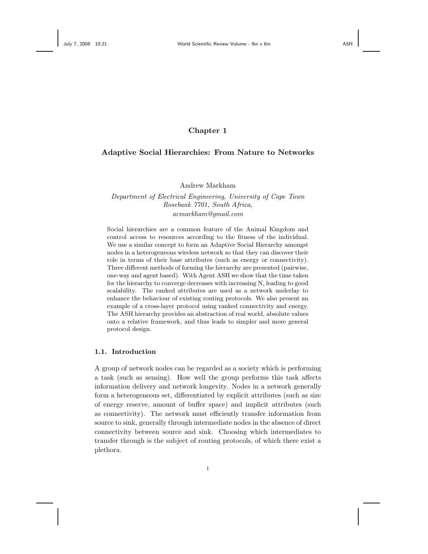# **Chapter 1**

# **Adaptive Social Hierarchies: From Nature to Networks**

Andrew Markham

*Department of Electrical Engineering, University of Cape Town Rosebank 7701, South Africa, acmarkham@gmail.com*

Social hierarchies are a common feature of the Animal Kingdom and control access to resources according to the fitness of the individual. We use a similar concept to form an Adaptive Social Hierarchy amongst nodes in a heterogeneous wireless network so that they can discover their role in terms of their base attributes (such as energy or connectivity). Three different methods of forming the hierarchy are presented (pairwise, one-way and agent based). With Agent ASH we show that the time taken for the hierarchy to converge decreases with increasing N, leading to good scalability. The ranked attributes are used as a network underlay to enhance the behaviour of existing routing protocols. We also present an example of a cross-layer protocol using ranked connectivity and energy. The ASH hierarchy provides an abstraction of real world, absolute values onto a relative framework, and thus leads to simpler and more general protocol design.

# **1.1. Introduction**

A group of network nodes can be regarded as a society which is performing a task (such as sensing). How well the group performs this task affects information delivery and network longevity. Nodes in a network generally form a heterogeneous set, differentiated by explicit attributes (such as size of energy reserve, amount of buffer space) and implicit attributes (such as connectivity). The network must efficiently transfer information from source to sink, generally through intermediate nodes in the absence of direct connectivity between source and sink. Choosing which intermediates to transfer through is the subject of routing protocols, of which there exist a plethora.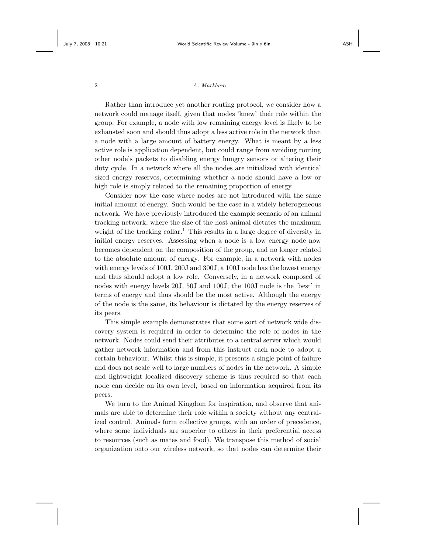Rather than introduce yet another routing protocol, we consider how a network could manage itself, given that nodes 'knew' their role within the group. For example, a node with low remaining energy level is likely to be exhausted soon and should thus adopt a less active role in the network than a node with a large amount of battery energy. What is meant by a less active role is application dependent, but could range from avoiding routing other node's packets to disabling energy hungry sensors or altering their duty cycle. In a network where all the nodes are initialized with identical sized energy reserves, determining whether a node should have a low or high role is simply related to the remaining proportion of energy.

Consider now the case where nodes are not introduced with the same initial amount of energy. Such would be the case in a widely heterogeneous network. We have previously introduced the example scenario of an animal tracking network, where the size of the host animal dictates the maximum weight of the tracking collar.<sup>1</sup> This results in a large degree of diversity in initial energy reserves. Assessing when a node is a low energy node now becomes dependent on the composition of the group, and no longer related to the absolute amount of energy. For example, in a network with nodes with energy levels of 100J, 200J and 300J, a 100J node has the lowest energy and thus should adopt a low role. Conversely, in a network composed of nodes with energy levels 20J, 50J and 100J, the 100J node is the 'best' in terms of energy and thus should be the most active. Although the energy of the node is the same, its behaviour is dictated by the energy reserves of its peers.

This simple example demonstrates that some sort of network wide discovery system is required in order to determine the role of nodes in the network. Nodes could send their attributes to a central server which would gather network information and from this instruct each node to adopt a certain behaviour. Whilst this is simple, it presents a single point of failure and does not scale well to large numbers of nodes in the network. A simple and lightweight localized discovery scheme is thus required so that each node can decide on its own level, based on information acquired from its peers.

We turn to the Animal Kingdom for inspiration, and observe that animals are able to determine their role within a society without any centralized control. Animals form collective groups, with an order of precedence, where some individuals are superior to others in their preferential access to resources (such as mates and food). We transpose this method of social organization onto our wireless network, so that nodes can determine their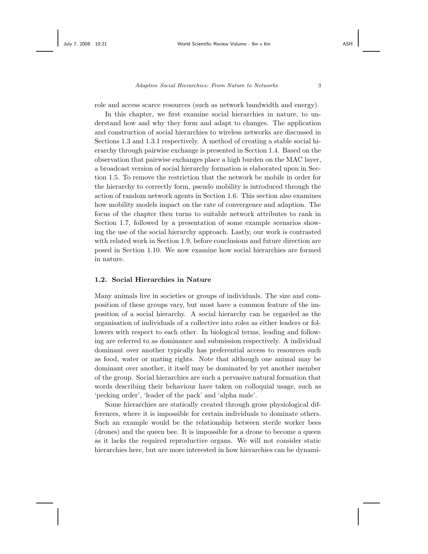role and access scarce resources (such as network bandwidth and energy).

In this chapter, we first examine social hierarchies in nature, to understand how and why they form and adapt to changes. The application and construction of social hierarchies to wireless networks are discussed in Sections 1.3 and 1.3.1 respectively. A method of creating a stable social hierarchy through pairwise exchange is presented in Section 1.4. Based on the observation that pairwise exchanges place a high burden on the MAC layer, a broadcast version of social hierarchy formation is elaborated upon in Section 1.5. To remove the restriction that the network be mobile in order for the hierarchy to correctly form, pseudo mobility is introduced through the action of random network agents in Section 1.6. This section also examines how mobility models impact on the rate of convergence and adaption. The focus of the chapter then turns to suitable network attributes to rank in Section 1.7, followed by a presentation of some example scenarios showing the use of the social hierarchy approach. Lastly, our work is contrasted with related work in Section 1.9, before conclusions and future direction are posed in Section 1.10. We now examine how social hierarchies are formed in nature.

# **1.2. Social Hierarchies in Nature**

Many animals live in societies or groups of individuals. The size and composition of these groups vary, but most have a common feature of the imposition of a social hierarchy. A social hierarchy can be regarded as the organisation of individuals of a collective into roles as either leaders or followers with respect to each other. In biological terms, leading and following are referred to as dominance and submission respectively. A individual dominant over another typically has preferential access to resources such as food, water or mating rights. Note that although one animal may be dominant over another, it itself may be dominated by yet another member of the group. Social hierarchies are such a pervasive natural formation that words describing their behaviour have taken on colloquial usage, such as 'pecking order', 'leader of the pack' and 'alpha male'.

Some hierarchies are statically created through gross physiological differences, where it is impossible for certain individuals to dominate others. Such an example would be the relationship between sterile worker bees (drones) and the queen bee. It is impossible for a drone to become a queen as it lacks the required reproductive organs. We will not consider static hierarchies here, but are more interested in how hierarchies can be dynami-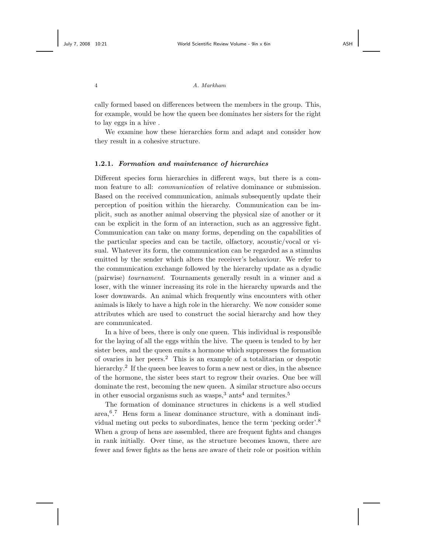cally formed based on differences between the members in the group. This, for example, would be how the queen bee dominates her sisters for the right to lay eggs in a hive .

We examine how these hierarchies form and adapt and consider how they result in a cohesive structure.

### **1.2.1.** *Formation and maintenance of hierarchies*

Different species form hierarchies in different ways, but there is a common feature to all: *communication* of relative dominance or submission. Based on the received communication, animals subsequently update their perception of position within the hierarchy. Communication can be implicit, such as another animal observing the physical size of another or it can be explicit in the form of an interaction, such as an aggressive fight. Communication can take on many forms, depending on the capabilities of the particular species and can be tactile, olfactory, acoustic/vocal or visual. Whatever its form, the communication can be regarded as a stimulus emitted by the sender which alters the receiver's behaviour. We refer to the communication exchange followed by the hierarchy update as a dyadic (pairwise) *tournament*. Tournaments generally result in a winner and a loser, with the winner increasing its role in the hierarchy upwards and the loser downwards. An animal which frequently wins encounters with other animals is likely to have a high role in the hierarchy. We now consider some attributes which are used to construct the social hierarchy and how they are communicated.

In a hive of bees, there is only one queen. This individual is responsible for the laying of all the eggs within the hive. The queen is tended to by her sister bees, and the queen emits a hormone which suppresses the formation of ovaries in her peers.<sup>2</sup> This is an example of a totalitarian or despotic hierarchy.<sup>2</sup> If the queen bee leaves to form a new nest or dies, in the absence of the hormone, the sister bees start to regrow their ovaries. One bee will dominate the rest, becoming the new queen. A similar structure also occurs in other eusocial organisms such as wasps,<sup>3</sup> ants<sup>4</sup> and termites.<sup>5</sup>

The formation of dominance structures in chickens is a well studied area,<sup>6</sup>. <sup>7</sup> Hens form a linear dominance structure, with a dominant individual meting out pecks to subordinates, hence the term 'pecking order'.<sup>8</sup> When a group of hens are assembled, there are frequent fights and changes in rank initially. Over time, as the structure becomes known, there are fewer and fewer fights as the hens are aware of their role or position within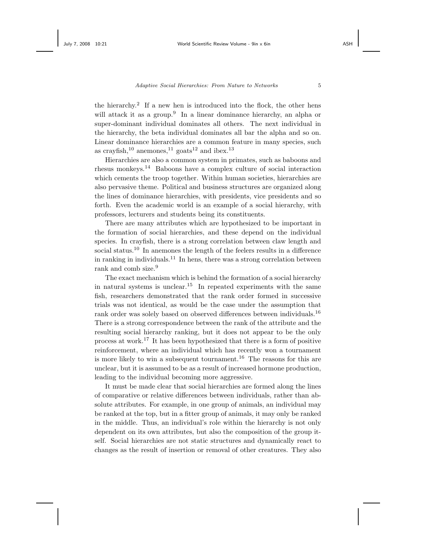the hierarchy.<sup>2</sup> If a new hen is introduced into the flock, the other hens will attack it as a group.<sup>9</sup> In a linear dominance hierarchy, an alpha or super-dominant individual dominates all others. The next individual in the hierarchy, the beta individual dominates all bar the alpha and so on. Linear dominance hierarchies are a common feature in many species, such as crayfish,<sup>10</sup> anemones,<sup>11</sup> goats<sup>12</sup> and ibex.<sup>13</sup>

Hierarchies are also a common system in primates, such as baboons and rhesus monkeys.<sup>14</sup> Baboons have a complex culture of social interaction which cements the troop together. Within human societies, hierarchies are also pervasive theme. Political and business structures are organized along the lines of dominance hierarchies, with presidents, vice presidents and so forth. Even the academic world is an example of a social hierarchy, with professors, lecturers and students being its constituents.

There are many attributes which are hypothesized to be important in the formation of social hierarchies, and these depend on the individual species. In crayfish, there is a strong correlation between claw length and social status.<sup>10</sup> In anemones the length of the feelers results in a difference in ranking in individuals.<sup>11</sup> In hens, there was a strong correlation between rank and comb size.<sup>9</sup>

The exact mechanism which is behind the formation of a social hierarchy in natural systems is unclear.<sup>15</sup> In repeated experiments with the same fish, researchers demonstrated that the rank order formed in successive trials was not identical, as would be the case under the assumption that rank order was solely based on observed differences between individuals.<sup>16</sup> There is a strong correspondence between the rank of the attribute and the resulting social hierarchy ranking, but it does not appear to be the only process at work.<sup>17</sup> It has been hypothesized that there is a form of positive reinforcement, where an individual which has recently won a tournament is more likely to win a subsequent tournament.<sup>16</sup> The reasons for this are unclear, but it is assumed to be as a result of increased hormone production, leading to the individual becoming more aggressive.

It must be made clear that social hierarchies are formed along the lines of comparative or relative differences between individuals, rather than absolute attributes. For example, in one group of animals, an individual may be ranked at the top, but in a fitter group of animals, it may only be ranked in the middle. Thus, an individual's role within the hierarchy is not only dependent on its own attributes, but also the composition of the group itself. Social hierarchies are not static structures and dynamically react to changes as the result of insertion or removal of other creatures. They also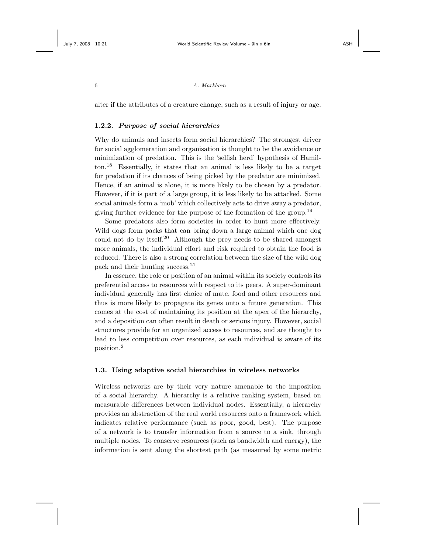alter if the attributes of a creature change, such as a result of injury or age.

# **1.2.2.** *Purpose of social hierarchies*

Why do animals and insects form social hierarchies? The strongest driver for social agglomeration and organisation is thought to be the avoidance or minimization of predation. This is the 'selfish herd' hypothesis of Hamilton.<sup>18</sup> Essentially, it states that an animal is less likely to be a target for predation if its chances of being picked by the predator are minimized. Hence, if an animal is alone, it is more likely to be chosen by a predator. However, if it is part of a large group, it is less likely to be attacked. Some social animals form a 'mob' which collectively acts to drive away a predator, giving further evidence for the purpose of the formation of the group.<sup>19</sup>

Some predators also form societies in order to hunt more effectively. Wild dogs form packs that can bring down a large animal which one dog could not do by itself.<sup>20</sup> Although the prey needs to be shared amongst more animals, the individual effort and risk required to obtain the food is reduced. There is also a strong correlation between the size of the wild dog pack and their hunting success.<sup>21</sup>

In essence, the role or position of an animal within its society controls its preferential access to resources with respect to its peers. A super-dominant individual generally has first choice of mate, food and other resources and thus is more likely to propagate its genes onto a future generation. This comes at the cost of maintaining its position at the apex of the hierarchy, and a deposition can often result in death or serious injury. However, social structures provide for an organized access to resources, and are thought to lead to less competition over resources, as each individual is aware of its position.<sup>2</sup>

### **1.3. Using adaptive social hierarchies in wireless networks**

Wireless networks are by their very nature amenable to the imposition of a social hierarchy. A hierarchy is a relative ranking system, based on measurable differences between individual nodes. Essentially, a hierarchy provides an abstraction of the real world resources onto a framework which indicates relative performance (such as poor, good, best). The purpose of a network is to transfer information from a source to a sink, through multiple nodes. To conserve resources (such as bandwidth and energy), the information is sent along the shortest path (as measured by some metric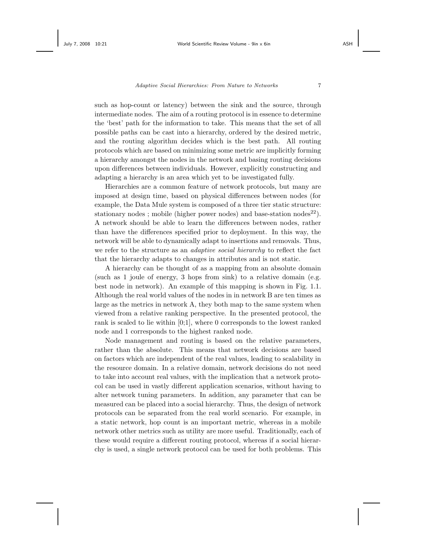such as hop-count or latency) between the sink and the source, through intermediate nodes. The aim of a routing protocol is in essence to determine the 'best' path for the information to take. This means that the set of all possible paths can be cast into a hierarchy, ordered by the desired metric, and the routing algorithm decides which is the best path. All routing protocols which are based on minimizing some metric are implicitly forming a hierarchy amongst the nodes in the network and basing routing decisions upon differences between individuals. However, explicitly constructing and adapting a hierarchy is an area which yet to be investigated fully.

Hierarchies are a common feature of network protocols, but many are imposed at design time, based on physical differences between nodes (for example, the Data Mule system is composed of a three tier static structure: stationary nodes; mobile (higher power nodes) and base-station  $\text{nodes}^{22}$ ). A network should be able to learn the differences between nodes, rather than have the differences specified prior to deployment. In this way, the network will be able to dynamically adapt to insertions and removals. Thus, we refer to the structure as an *adaptive social hierarchy* to reflect the fact that the hierarchy adapts to changes in attributes and is not static.

A hierarchy can be thought of as a mapping from an absolute domain (such as 1 joule of energy, 3 hops from sink) to a relative domain (e.g. best node in network). An example of this mapping is shown in Fig. 1.1. Although the real world values of the nodes in in network B are ten times as large as the metrics in network A, they both map to the same system when viewed from a relative ranking perspective. In the presented protocol, the rank is scaled to lie within [0;1], where 0 corresponds to the lowest ranked node and 1 corresponds to the highest ranked node.

Node management and routing is based on the relative parameters, rather than the absolute. This means that network decisions are based on factors which are independent of the real values, leading to scalability in the resource domain. In a relative domain, network decisions do not need to take into account real values, with the implication that a network protocol can be used in vastly different application scenarios, without having to alter network tuning parameters. In addition, any parameter that can be measured can be placed into a social hierarchy. Thus, the design of network protocols can be separated from the real world scenario. For example, in a static network, hop count is an important metric, whereas in a mobile network other metrics such as utility are more useful. Traditionally, each of these would require a different routing protocol, whereas if a social hierarchy is used, a single network protocol can be used for both problems. This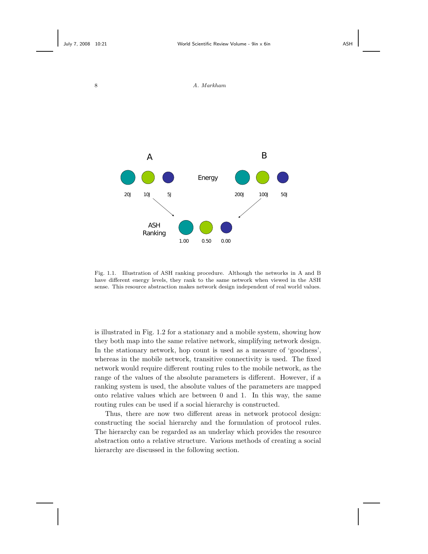

Fig. 1.1. Illustration of ASH ranking procedure. Although the networks in A and B have different energy levels, they rank to the same network when viewed in the ASH sense. This resource abstraction makes network design independent of real world values.

is illustrated in Fig. 1.2 for a stationary and a mobile system, showing how they both map into the same relative network, simplifying network design. In the stationary network, hop count is used as a measure of 'goodness', whereas in the mobile network, transitive connectivity is used. The fixed network would require different routing rules to the mobile network, as the range of the values of the absolute parameters is different. However, if a ranking system is used, the absolute values of the parameters are mapped onto relative values which are between 0 and 1. In this way, the same routing rules can be used if a social hierarchy is constructed.

Thus, there are now two different areas in network protocol design: constructing the social hierarchy and the formulation of protocol rules. The hierarchy can be regarded as an underlay which provides the resource abstraction onto a relative structure. Various methods of creating a social hierarchy are discussed in the following section.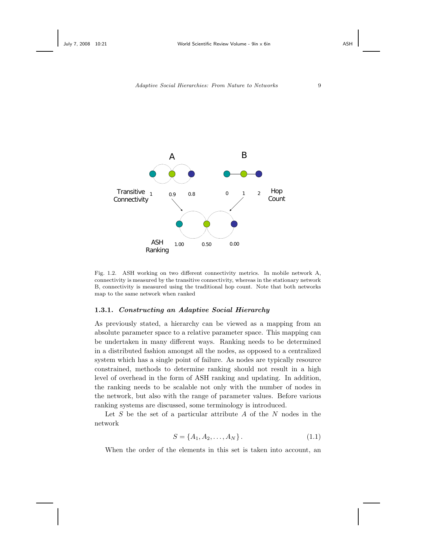

Fig. 1.2. ASH working on two different connectivity metrics. In mobile network A, connectivity is measured by the transitive connectivity, whereas in the stationary network B, connectivity is measured using the traditional hop count. Note that both networks map to the same network when ranked

### **1.3.1.** *Constructing an Adaptive Social Hierarchy*

As previously stated, a hierarchy can be viewed as a mapping from an absolute parameter space to a relative parameter space. This mapping can be undertaken in many different ways. Ranking needs to be determined in a distributed fashion amongst all the nodes, as opposed to a centralized system which has a single point of failure. As nodes are typically resource constrained, methods to determine ranking should not result in a high level of overhead in the form of ASH ranking and updating. In addition, the ranking needs to be scalable not only with the number of nodes in the network, but also with the range of parameter values. Before various ranking systems are discussed, some terminology is introduced.

Let  $S$  be the set of a particular attribute  $A$  of the  $N$  nodes in the network

$$
S = \{A_1, A_2, \dots, A_N\}.
$$
 (1.1)

When the order of the elements in this set is taken into account, an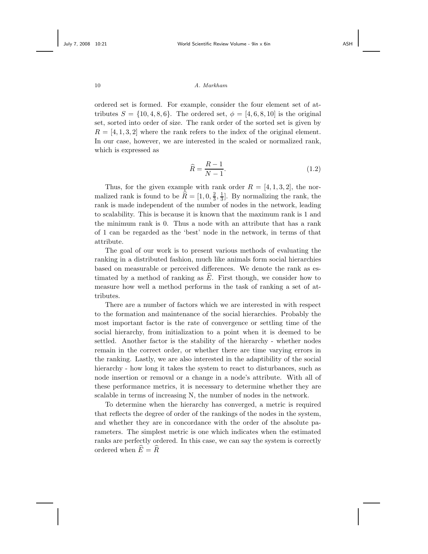ordered set is formed. For example, consider the four element set of attributes  $S = \{10, 4, 8, 6\}$ . The ordered set,  $\phi = [4, 6, 8, 10]$  is the original set, sorted into order of size. The rank order of the sorted set is given by  $R = \{4, 1, 3, 2\}$  where the rank refers to the index of the original element. In our case, however, we are interested in the scaled or normalized rank, which is expressed as

$$
\widehat{R} = \frac{R-1}{N-1}.\tag{1.2}
$$

Thus, for the given example with rank order  $R = [4, 1, 3, 2]$ , the normalized rank is found to be  $\hat{R} = [1, 0, \frac{2}{3}, \frac{1}{3}]$ . By normalizing the rank, the rank is made independent of the number of nodes in the network, leading to scalability. This is because it is known that the maximum rank is 1 and the minimum rank is 0. Thus a node with an attribute that has a rank of 1 can be regarded as the 'best' node in the network, in terms of that attribute.

The goal of our work is to present various methods of evaluating the ranking in a distributed fashion, much like animals form social hierarchies based on measurable or perceived differences. We denote the rank as estimated by a method of ranking as  $\hat{E}$ . First though, we consider how to measure how well a method performs in the task of ranking a set of attributes.

There are a number of factors which we are interested in with respect to the formation and maintenance of the social hierarchies. Probably the most important factor is the rate of convergence or settling time of the social hierarchy, from initialization to a point when it is deemed to be settled. Another factor is the stability of the hierarchy - whether nodes remain in the correct order, or whether there are time varying errors in the ranking. Lastly, we are also interested in the adaptibility of the social hierarchy - how long it takes the system to react to disturbances, such as node insertion or removal or a change in a node's attribute. With all of these performance metrics, it is necessary to determine whether they are scalable in terms of increasing N, the number of nodes in the network.

To determine when the hierarchy has converged, a metric is required that reflects the degree of order of the rankings of the nodes in the system, and whether they are in concordance with the order of the absolute parameters. The simplest metric is one which indicates when the estimated ranks are perfectly ordered. In this case, we can say the system is correctly ordered when  $\widehat{E} = \widehat{R}$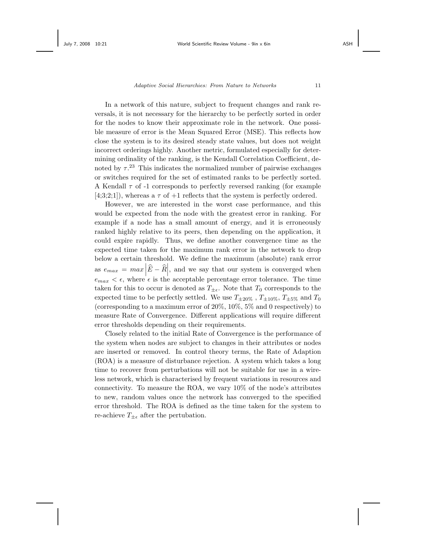In a network of this nature, subject to frequent changes and rank reversals, it is not necessary for the hierarchy to be perfectly sorted in order for the nodes to know their approximate role in the network. One possible measure of error is the Mean Squared Error (MSE). This reflects how close the system is to its desired steady state values, but does not weight incorrect orderings highly. Another metric, formulated especially for determining ordinality of the ranking, is the Kendall Correlation Coefficient, denoted by  $\tau^{23}$  This indicates the normalized number of pairwise exchanges or switches required for the set of estimated ranks to be perfectly sorted. A Kendall  $\tau$  of -1 corresponds to perfectly reversed ranking (for example [4;3;2;1]), whereas a  $\tau$  of  $+1$  reflects that the system is perfectly ordered.

However, we are interested in the worst case performance, and this would be expected from the node with the greatest error in ranking. For example if a node has a small amount of energy, and it is erroneously ranked highly relative to its peers, then depending on the application, it could expire rapidly. Thus, we define another convergence time as the expected time taken for the maximum rank error in the network to drop below a certain threshold. We define the maximum (absolute) rank error as  $e_{max} = max \left| \widehat{E} - \widehat{R} \right|$ , and we say that our system is converged when  $e_{max} < \epsilon$ , where  $\epsilon$  is the acceptable percentage error tolerance. The time taken for this to occur is denoted as  $T_{\pm\epsilon}$ . Note that  $T_0$  corresponds to the expected time to be perfectly settled. We use  $T_{\pm 20\%}$ ,  $T_{\pm 10\%}$ ,  $T_{\pm 5\%}$  and  $T_0$ (corresponding to a maximum error of 20%, 10%, 5% and 0 respectively) to measure Rate of Convergence. Different applications will require different error thresholds depending on their requirements.

Closely related to the initial Rate of Convergence is the performance of the system when nodes are subject to changes in their attributes or nodes are inserted or removed. In control theory terms, the Rate of Adaption (ROA) is a measure of disturbance rejection. A system which takes a long time to recover from perturbations will not be suitable for use in a wireless network, which is characterised by frequent variations in resources and connectivity. To measure the ROA, we vary 10% of the node's attributes to new, random values once the network has converged to the specified error threshold. The ROA is defined as the time taken for the system to re-achieve  $T_{\pm\epsilon}$  after the pertubation.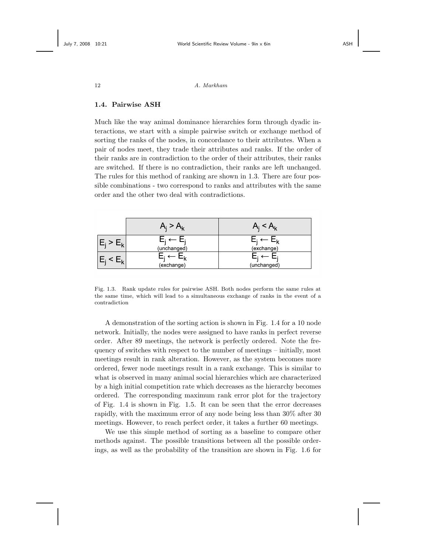# **1.4. Pairwise ASH**

Much like the way animal dominance hierarchies form through dyadic interactions, we start with a simple pairwise switch or exchange method of sorting the ranks of the nodes, in concordance to their attributes. When a pair of nodes meet, they trade their attributes and ranks. If the order of their ranks are in contradiction to the order of their attributes, their ranks are switched. If there is no contradiction, their ranks are left unchanged. The rules for this method of ranking are shown in 1.3. There are four possible combinations - two correspond to ranks and attributes with the same order and the other two deal with contradictions.

|               | $A_i > A_k$ | $A_i < A_k$    |
|---------------|-------------|----------------|
| $ F_i > E_k $ | (unchanged) | <br>(exchange) |
| ⊢             | (exchange)  | (unchanged)    |

Fig. 1.3. Rank update rules for pairwise ASH. Both nodes perform the same rules at the same time, which will lead to a simultaneous exchange of ranks in the event of a contradiction

A demonstration of the sorting action is shown in Fig. 1.4 for a 10 node network. Initially, the nodes were assigned to have ranks in perfect reverse order. After 89 meetings, the network is perfectly ordered. Note the frequency of switches with respect to the number of meetings – initially, most meetings result in rank alteration. However, as the system becomes more ordered, fewer node meetings result in a rank exchange. This is similar to what is observed in many animal social hierarchies which are characterized by a high initial competition rate which decreases as the hierarchy becomes ordered. The corresponding maximum rank error plot for the trajectory of Fig. 1.4 is shown in Fig. 1.5. It can be seen that the error decreases rapidly, with the maximum error of any node being less than 30% after 30 meetings. However, to reach perfect order, it takes a further 60 meetings.

We use this simple method of sorting as a baseline to compare other methods against. The possible transitions between all the possible orderings, as well as the probability of the transition are shown in Fig. 1.6 for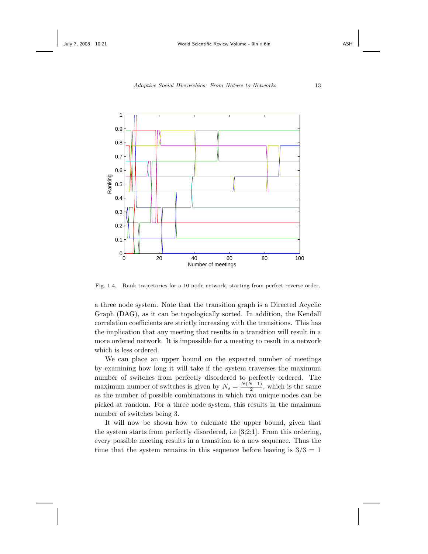

Fig. 1.4. Rank trajectories for a 10 node network, starting from perfect reverse order.

a three node system. Note that the transition graph is a Directed Acyclic Graph (DAG), as it can be topologically sorted. In addition, the Kendall correlation coefficients are strictly increasing with the transitions. This has the implication that any meeting that results in a transition will result in a more ordered network. It is impossible for a meeting to result in a network which is less ordered.

We can place an upper bound on the expected number of meetings by examining how long it will take if the system traverses the maximum number of switches from perfectly disordered to perfectly ordered. The maximum number of switches is given by  $N_s = \frac{N(\tilde{N}-1)}{2}$ , which is the same as the number of possible combinations in which two unique nodes can be picked at random. For a three node system, this results in the maximum number of switches being 3.

It will now be shown how to calculate the upper bound, given that the system starts from perfectly disordered, i.e [3;2;1]. From this ordering, every possible meeting results in a transition to a new sequence. Thus the time that the system remains in this sequence before leaving is  $3/3=1$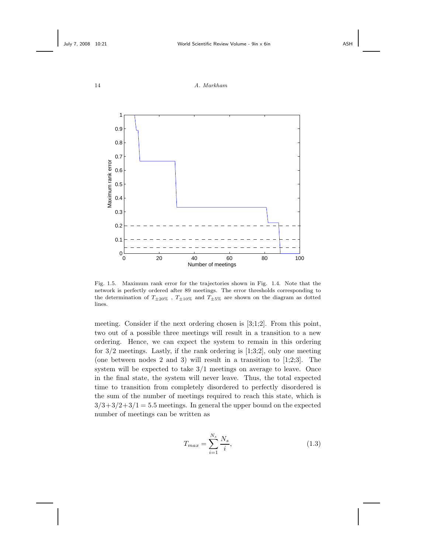

Fig. 1.5. Maximum rank error for the trajectories shown in Fig. 1.4. Note that the network is perfectly ordered after 89 meetings. The error thresholds corresponding to the determination of  $T_{\pm 20\%}$  ,  $T_{\pm 10\%}$  and  $T_{\pm 5\%}$  are shown on the diagram as dotted lines.

meeting. Consider if the next ordering chosen is [3;1;2]. From this point, two out of a possible three meetings will result in a transition to a new ordering. Hence, we can expect the system to remain in this ordering for  $3/2$  meetings. Lastly, if the rank ordering is [1;3;2], only one meeting (one between nodes 2 and 3) will result in a transition to [1;2;3]. The system will be expected to take 3/1 meetings on average to leave. Once in the final state, the system will never leave. Thus, the total expected time to transition from completely disordered to perfectly disordered is the sum of the number of meetings required to reach this state, which is  $3/3+3/2+3/1=5.5$  meetings. In general the upper bound on the expected number of meetings can be written as

$$
T_{max} = \sum_{i=1}^{N_s} \frac{N_s}{i},
$$
\n(1.3)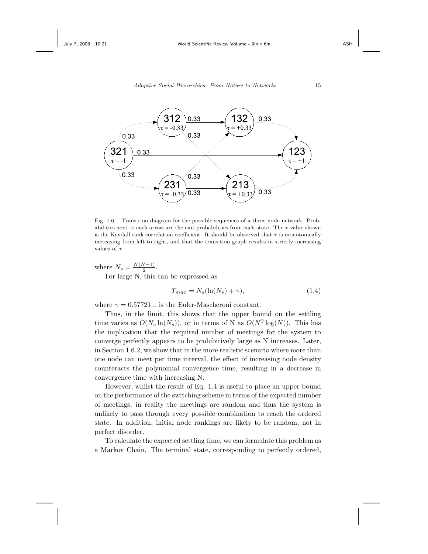

Fig. 1.6. Transition diagram for the possible sequences of a three node network. Probabilities next to each arrow are the exit probabilities from each state. The  $\tau$  value shown is the Kendall rank correlation coefficient. It should be observed that  $\tau$  is monotonically increasing from left to right, and that the transition graph results in strictly increasing values of  $\tau$ .

where  $N_s = \frac{N(N-1)}{2}$ . For large N, this can be expressed as

$$
T_{max} = N_s(\ln(N_s) + \gamma),\tag{1.4}
$$

where  $\gamma = 0.57721...$  is the Euler-Mascheroni constant.

Thus, in the limit, this shows that the upper bound on the settling time varies as  $O(N_s \ln(N_s))$ , or in terms of N as  $O(N^2 \log(N))$ . This has the implication that the required number of meetings for the system to converge perfectly appears to be prohibitively large as N increases. Later, in Section 1.6.2, we show that in the more realistic scenario where more than one node can meet per time interval, the effect of increasing node density counteracts the polynomial convergence time, resulting in a decrease in convergence time with increasing N.

However, whilst the result of Eq. 1.4 is useful to place an upper bound on the performance of the switching scheme in terms of the expected number of meetings, in reality the meetings are random and thus the system is unlikely to pass through every possible combination to reach the ordered state. In addition, initial node rankings are likely to be random, not in perfect disorder.

To calculate the expected settling time, we can formulate this problem as a Markov Chain. The terminal state, corresponding to perfectly ordered,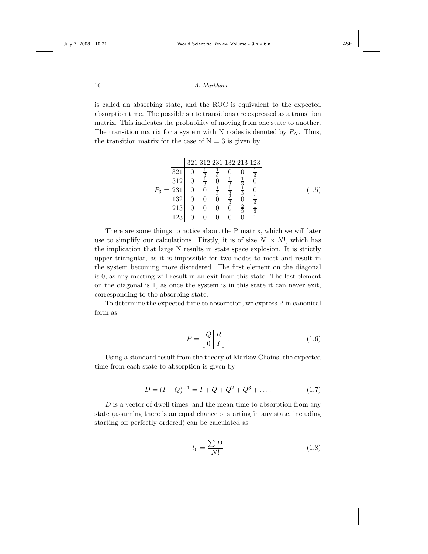is called an absorbing state, and the ROC is equivalent to the expected absorption time. The possible state transitions are expressed as a transition matrix. This indicates the probability of moving from one state to another. The transition matrix for a system with N nodes is denoted by  $P_N$ . Thus, the transition matrix for the case of  $N = 3$  is given by

 $P_3 = 231 \quad 0 \quad 0 \quad \frac{1}{3}$ 321 312 231 132 213 123 321  $\frac{3}{3}$  $\frac{1}{3}$  $\frac{1}{3}$  0 0  $\frac{1}{3}$  $312$  0  $\frac{1}{3}$  0<br>0  $\frac{1}{2}$ 3 1 3  $\frac{1}{3}$  0  $\frac{1}{3}$  $\frac{1}{3}$  0  $132$  0 0  $\frac{2}{3}$  0  $\frac{1}{3}$ <br>0  $\frac{2}{3}$   $\frac{1}{3}$  $213$  0 0 0 3  $123$  0 0 0 0 (1.5)

There are some things to notice about the P matrix, which we will later use to simplify our calculations. Firstly, it is of size  $N! \times N!$ , which has the implication that large N results in state space explosion. It is strictly upper triangular, as it is impossible for two nodes to meet and result in the system becoming more disordered. The first element on the diagonal is 0, as any meeting will result in an exit from this state. The last element on the diagonal is 1, as once the system is in this state it can never exit, corresponding to the absorbing state.

To determine the expected time to absorption, we express P in canonical form as

$$
P = \left[\frac{Q \mid R}{0 \mid I}\right].\tag{1.6}
$$

Using a standard result from the theory of Markov Chains, the expected time from each state to absorption is given by

$$
D = (I - Q)^{-1} = I + Q + Q^2 + Q^3 + \dots
$$
\n(1.7)

D is a vector of dwell times, and the mean time to absorption from any state (assuming there is an equal chance of starting in any state, including starting off perfectly ordered) can be calculated as

$$
t_0 = \frac{\sum D}{N!} \tag{1.8}
$$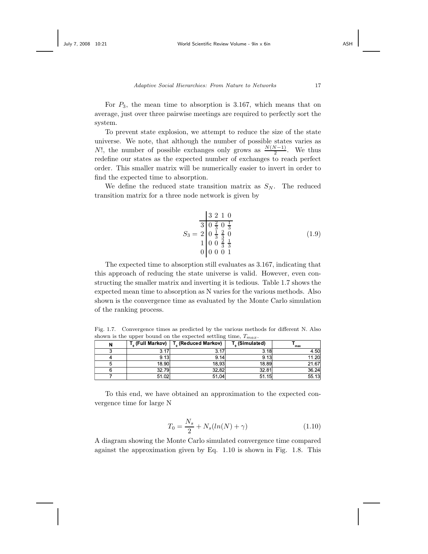For  $P_3$ , the mean time to absorption is 3.167, which means that on average, just over three pairwise meetings are required to perfectly sort the system.

To prevent state explosion, we attempt to reduce the size of the state universe. We note, that although the number of possible states varies as N!, the number of possible exchanges only grows as  $\frac{N(N-1)}{2}$ . We thus redefine our states as the expected number of exchanges to reach perfect order. This smaller matrix will be numerically easier to invert in order to find the expected time to absorption.

We define the reduced state transition matrix as  $S_N$ . The reduced transition matrix for a three node network is given by

$$
S_3 = \frac{3}{2} \begin{array}{ccc} 3 & 2 & 1 & 0 \\ \hline 3 & 0 & \frac{2}{3} & 0 & \frac{1}{3} \\ 0 & \frac{1}{3} & \frac{2}{3} & 0 \\ 1 & 0 & 0 & \frac{2}{3} & \frac{1}{3} \\ 0 & 0 & 0 & 1 \end{array} \tag{1.9}
$$

The expected time to absorption still evaluates as 3.167, indicating that this approach of reducing the state universe is valid. However, even constructing the smaller matrix and inverting it is tedious. Table 1.7 shows the expected mean time to absorption as N varies for the various methods. Also shown is the convergence time as evaluated by the Monte Carlo simulation of the ranking process.

Fig. 1.7. Convergence times as predicted by the various methods for different N. Also shown is the upper bound on the expected settling time, T*max*.

| N | T. (Full Markov) | <sup>⊦</sup> Τ (Reduced Markov) | T. (Simulated) | max   |
|---|------------------|---------------------------------|----------------|-------|
|   |                  |                                 | 3.18           | 4 50  |
|   | 9.13             | 9.14                            | 9 13           | 11.20 |
|   | 18.90            | 18.93                           | 18 89          | 21.67 |
|   | 32 79            | 32 82                           | 32 81          | 36.24 |
|   | 51.02            | 51 04                           | 51 15          | 55.13 |

To this end, we have obtained an approximation to the expected convergence time for large N

$$
T_0 = \frac{N_s}{2} + N_s(ln(N) + \gamma)
$$
\n(1.10)

A diagram showing the Monte Carlo simulated convergence time compared against the approximation given by Eq. 1.10 is shown in Fig. 1.8. This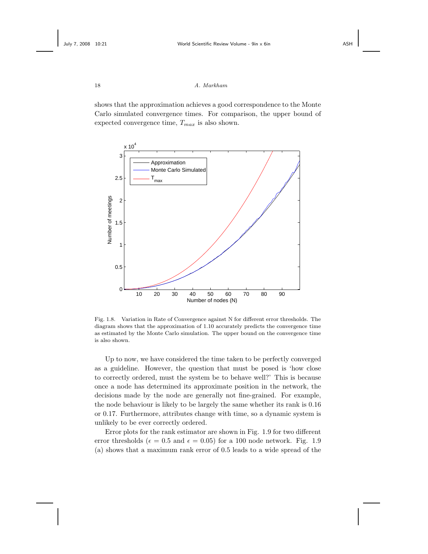shows that the approximation achieves a good correspondence to the Monte Carlo simulated convergence times. For comparison, the upper bound of expected convergence time,  $T_{max}$  is also shown.



Fig. 1.8. Variation in Rate of Convergence against N for different error thresholds. The diagram shows that the approximation of 1.10 accurately predicts the convergence time as estimated by the Monte Carlo simulation. The upper bound on the convergence time is also shown.

Up to now, we have considered the time taken to be perfectly converged as a guideline. However, the question that must be posed is 'how close to correctly ordered, must the system be to behave well?' This is because once a node has determined its approximate position in the network, the decisions made by the node are generally not fine-grained. For example, the node behaviour is likely to be largely the same whether its rank is 0.16 or 0.17. Furthermore, attributes change with time, so a dynamic system is unlikely to be ever correctly ordered.

Error plots for the rank estimator are shown in Fig. 1.9 for two different error thresholds ( $\epsilon = 0.5$  and  $\epsilon = 0.05$ ) for a 100 node network. Fig. 1.9 (a) shows that a maximum rank error of 0.5 leads to a wide spread of the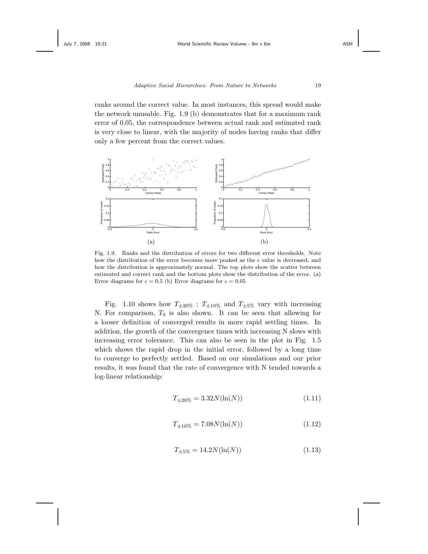ranks around the correct value. In most instances, this spread would make the network unusable. Fig. 1.9 (b) demonstrates that for a maximum rank error of 0.05, the correspondence between actual rank and estimated rank is very close to linear, with the majority of nodes having ranks that differ only a few percent from the correct values.



Fig. 1.9. Ranks and the distribution of errors for two different error thresholds. Note how the distribution of the error becomes more peaked as the  $\epsilon$  value is decreased, and how the distribution is approximately normal. The top plots show the scatter between estimated and correct rank and the bottom plots show the distribution of the error. (a) Error diagrams for  $\epsilon = 0.5$  (b) Error diagrams for  $\epsilon = 0.05$ 

Fig. 1.10 shows how  $T_{\pm 20\%}$ ;  $T_{\pm 10\%}$  and  $T_{\pm 5\%}$  vary with increasing N. For comparison,  $T_0$  is also shown. It can be seen that allowing for a looser definition of converged results in more rapid settling times. In addition, the growth of the convergence times with increasing N slows with increasing error tolerance. This can also be seen in the plot in Fig. 1.5 which shows the rapid drop in the initial error, followed by a long time to converge to perfectly settled. Based on our simulations and our prior results, it was found that the rate of convergence with N tended towards a log-linear relationship:

$$
T_{\pm 20\%} = 3.32N(\ln(N))\tag{1.11}
$$

$$
T_{\pm 10\%} = 7.08N(\ln(N))\tag{1.12}
$$

$$
T_{\pm 5\%} = 14.2N(\ln(N))\tag{1.13}
$$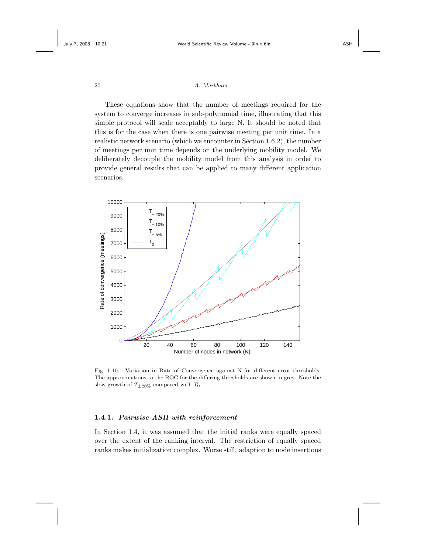These equations show that the number of meetings required for the system to converge increases in sub-polynomial time, illustrating that this simple protocol will scale acceptably to large N. It should be noted that this is for the case when there is one pairwise meeting per unit time. In a realistic network scenario (which we encounter in Section 1.6.2), the number of meetings per unit time depends on the underlying mobility model. We deliberately decouple the mobility model from this analysis in order to provide general results that can be applied to many different application scenarios.



Fig. 1.10. Variation in Rate of Convergence against N for different error thresholds. The approximations to the ROC for the differing thresholds are shown in grey. Note the slow growth of  $T_{\pm 20\%}$  compared with  $T_0$ .

## **1.4.1.** *Pairwise ASH with reinforcement*

In Section 1.4, it was assumed that the initial ranks were equally spaced over the extent of the ranking interval. The restriction of equally spaced ranks makes initialization complex. Worse still, adaption to node insertions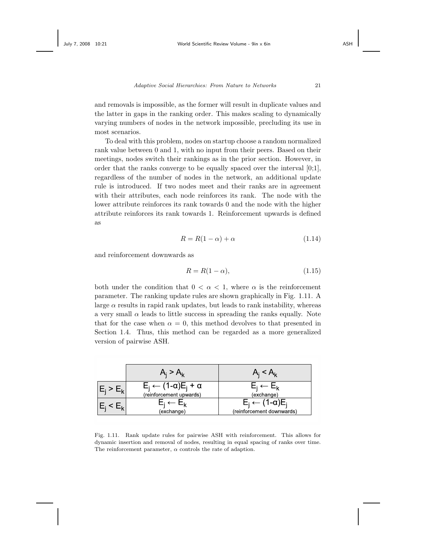and removals is impossible, as the former will result in duplicate values and the latter in gaps in the ranking order. This makes scaling to dynamically varying numbers of nodes in the network impossible, precluding its use in most scenarios.

To deal with this problem, nodes on startup choose a random normalized rank value between 0 and 1, with no input from their peers. Based on their meetings, nodes switch their rankings as in the prior section. However, in order that the ranks converge to be equally spaced over the interval [0;1], regardless of the number of nodes in the network, an additional update rule is introduced. If two nodes meet and their ranks are in agreement with their attributes, each node reinforces its rank. The node with the lower attribute reinforces its rank towards 0 and the node with the higher attribute reinforces its rank towards 1. Reinforcement upwards is defined as

$$
R = R(1 - \alpha) + \alpha \tag{1.14}
$$

and reinforcement downwards as

$$
R = R(1 - \alpha), \tag{1.15}
$$

both under the condition that  $0 < \alpha < 1$ , where  $\alpha$  is the reinforcement parameter. The ranking update rules are shown graphically in Fig. 1.11. A large  $\alpha$  results in rapid rank updates, but leads to rank instability, whereas a very small  $\alpha$  leads to little success in spreading the ranks equally. Note that for the case when  $\alpha = 0$ , this method devolves to that presented in Section 1.4. Thus, this method can be regarded as a more generalized version of pairwise ASH.

|               | $A_i > A_k$                                                        | $A_i < A_k$                                                 |
|---------------|--------------------------------------------------------------------|-------------------------------------------------------------|
| $ E_i>E_i $   | $E_i \leftarrow (1-\alpha)E_i + \alpha$<br>(reinforcement upwards) | (exchange)                                                  |
| $E_i$ < $E_k$ | (exchange)                                                         | $E_i \leftarrow (1-\alpha)E_i$<br>(reinforcement downwards) |

Fig. 1.11. Rank update rules for pairwise ASH with reinforcement. This allows for dynamic insertion and removal of nodes, resulting in equal spacing of ranks over time. The reinforcement parameter,  $\alpha$  controls the rate of adaption.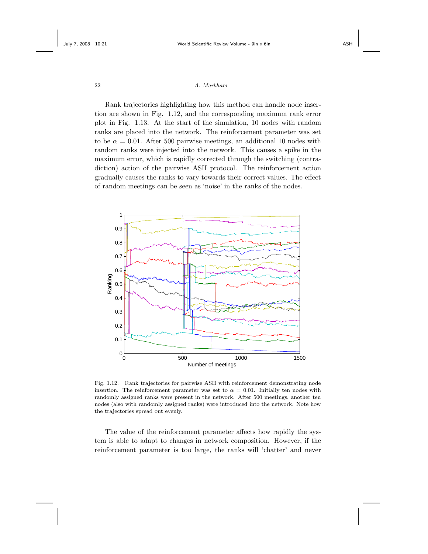Rank trajectories highlighting how this method can handle node insertion are shown in Fig. 1.12, and the corresponding maximum rank error plot in Fig. 1.13. At the start of the simulation, 10 nodes with random ranks are placed into the network. The reinforcement parameter was set to be  $\alpha = 0.01$ . After 500 pairwise meetings, an additional 10 nodes with random ranks were injected into the network. This causes a spike in the maximum error, which is rapidly corrected through the switching (contradiction) action of the pairwise ASH protocol. The reinforcement action gradually causes the ranks to vary towards their correct values. The effect of random meetings can be seen as 'noise' in the ranks of the nodes.



Fig. 1.12. Rank trajectories for pairwise ASH with reinforcement demonstrating node insertion. The reinforcement parameter was set to  $\alpha = 0.01$ . Initially ten nodes with randomly assigned ranks were present in the network. After 500 meetings, another ten nodes (also with randomly assigned ranks) were introduced into the network. Note how the trajectories spread out evenly.

The value of the reinforcement parameter affects how rapidly the system is able to adapt to changes in network composition. However, if the reinforcement parameter is too large, the ranks will 'chatter' and never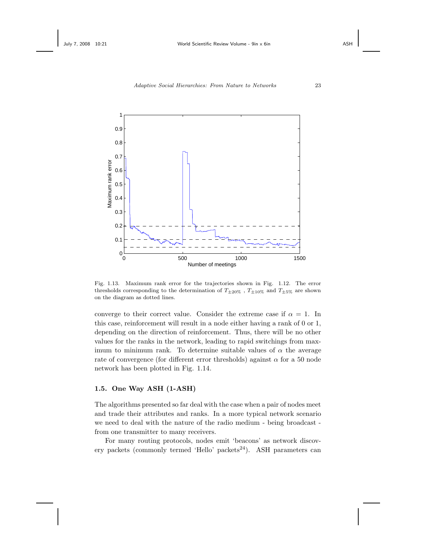

Fig. 1.13. Maximum rank error for the trajectories shown in Fig. 1.12. The error thresholds corresponding to the determination of  $T_{\pm 20\%}$  ,  $T_{\pm 10\%}$  and  $T_{\pm 5\%}$  are shown on the diagram as dotted lines.

converge to their correct value. Consider the extreme case if  $\alpha = 1$ . In this case, reinforcement will result in a node either having a rank of 0 or 1, depending on the direction of reinforcement. Thus, there will be no other values for the ranks in the network, leading to rapid switchings from maximum to minimum rank. To determine suitable values of  $\alpha$  the average rate of convergence (for different error thresholds) against  $\alpha$  for a 50 node network has been plotted in Fig. 1.14.

# **1.5. One Way ASH (1-ASH)**

The algorithms presented so far deal with the case when a pair of nodes meet and trade their attributes and ranks. In a more typical network scenario we need to deal with the nature of the radio medium - being broadcast from one transmitter to many receivers.

For many routing protocols, nodes emit 'beacons' as network discovery packets (commonly termed 'Hello' packets<sup>24</sup>). ASH parameters can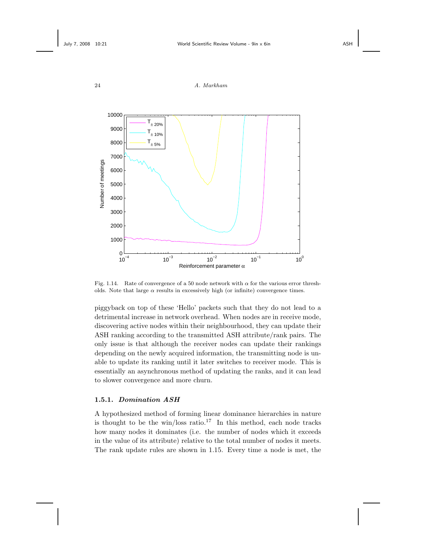

Fig. 1.14. Rate of convergence of a 50 node network with  $\alpha$  for the various error thresholds. Note that large  $\alpha$  results in excessively high (or infinite) convergence times.

piggyback on top of these 'Hello' packets such that they do not lead to a detrimental increase in network overhead. When nodes are in receive mode, discovering active nodes within their neighbourhood, they can update their ASH ranking according to the transmitted ASH attribute/rank pairs. The only issue is that although the receiver nodes can update their rankings depending on the newly acquired information, the transmitting node is unable to update its ranking until it later switches to receiver mode. This is essentially an asynchronous method of updating the ranks, and it can lead to slower convergence and more churn.

# **1.5.1.** *Domination ASH*

A hypothesized method of forming linear dominance hierarchies in nature is thought to be the win/loss ratio.<sup>17</sup> In this method, each node tracks how many nodes it dominates (i.e. the number of nodes which it exceeds in the value of its attribute) relative to the total number of nodes it meets. The rank update rules are shown in 1.15. Every time a node is met, the

24 *A. Markham*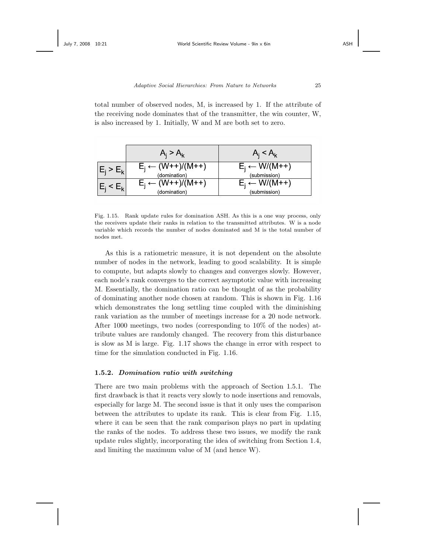total number of observed nodes, M, is increased by 1. If the attribute of the receiving node dominates that of the transmitter, the win counter, W, is also increased by 1. Initially, W and M are both set to zero.

|                   | $A_i > A_k$                                        | $A_i < A_k$                                         |
|-------------------|----------------------------------------------------|-----------------------------------------------------|
| $ E_i$ > $E_k $   | $E_i \leftarrow (W^{++})/(M^{++})$<br>(domination) | $E_i \leftarrow W/(M^{++})$<br>(submission)         |
| $ E_i \n\le E_k $ | $(W++)/(M++)$<br>(domination)                      | $E_i \leftarrow W/(M+\overline{+})$<br>(submission) |

Fig. 1.15. Rank update rules for domination ASH. As this is a one way process, only the receivers update their ranks in relation to the transmitted attributes. W is a node variable which records the number of nodes dominated and M is the total number of nodes met.

As this is a ratiometric measure, it is not dependent on the absolute number of nodes in the network, leading to good scalability. It is simple to compute, but adapts slowly to changes and converges slowly. However, each node's rank converges to the correct asymptotic value with increasing M. Essentially, the domination ratio can be thought of as the probability of dominating another node chosen at random. This is shown in Fig. 1.16 which demonstrates the long settling time coupled with the diminishing rank variation as the number of meetings increase for a 20 node network. After 1000 meetings, two nodes (corresponding to 10% of the nodes) attribute values are randomly changed. The recovery from this disturbance is slow as M is large. Fig. 1.17 shows the change in error with respect to time for the simulation conducted in Fig. 1.16.

## **1.5.2.** *Domination ratio with switching*

There are two main problems with the approach of Section 1.5.1. The first drawback is that it reacts very slowly to node insertions and removals, especially for large M. The second issue is that it only uses the comparison between the attributes to update its rank. This is clear from Fig. 1.15, where it can be seen that the rank comparison plays no part in updating the ranks of the nodes. To address these two issues, we modify the rank update rules slightly, incorporating the idea of switching from Section 1.4, and limiting the maximum value of M (and hence W).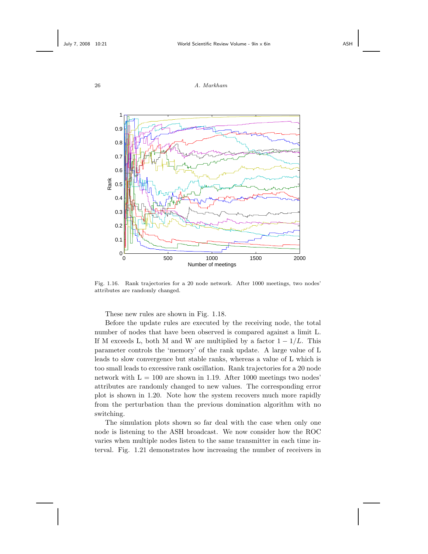

Fig. 1.16. Rank trajectories for a 20 node network. After 1000 meetings, two nodes' attributes are randomly changed.

These new rules are shown in Fig. 1.18.

Before the update rules are executed by the receiving node, the total number of nodes that have been observed is compared against a limit L. If M exceeds L, both M and W are multiplied by a factor  $1 - 1/L$ . This parameter controls the 'memory' of the rank update. A large value of L leads to slow convergence but stable ranks, whereas a value of L which is too small leads to excessive rank oscillation. Rank trajectories for a 20 node network with  $L = 100$  are shown in 1.19. After 1000 meetings two nodes' attributes are randomly changed to new values. The corresponding error plot is shown in 1.20. Note how the system recovers much more rapidly from the perturbation than the previous domination algorithm with no switching.

The simulation plots shown so far deal with the case when only one node is listening to the ASH broadcast. We now consider how the ROC varies when multiple nodes listen to the same transmitter in each time interval. Fig. 1.21 demonstrates how increasing the number of receivers in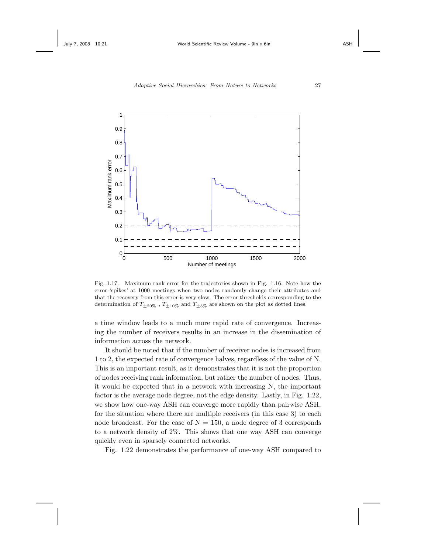

Fig. 1.17. Maximum rank error for the trajectories shown in Fig. 1.16. Note how the error 'spikes' at 1000 meetings when two nodes randomly change their attributes and that the recovery from this error is very slow. The error thresholds corresponding to the determination of  $T_{\pm 20\%}$  ,  $T_{\pm 10\%}$  and  $T_{\pm 5\%}$  are shown on the plot as dotted lines.

a time window leads to a much more rapid rate of convergence. Increasing the number of receivers results in an increase in the dissemination of information across the network.

It should be noted that if the number of receiver nodes is increased from 1 to 2, the expected rate of convergence halves, regardless of the value of N. This is an important result, as it demonstrates that it is not the proportion of nodes receiving rank information, but rather the number of nodes. Thus, it would be expected that in a network with increasing N, the important factor is the average node degree, not the edge density. Lastly, in Fig. 1.22, we show how one-way ASH can converge more rapidly than pairwise ASH, for the situation where there are multiple receivers (in this case 3) to each node broadcast. For the case of  $N = 150$ , a node degree of 3 corresponds to a network density of 2%. This shows that one way ASH can converge quickly even in sparsely connected networks.

Fig. 1.22 demonstrates the performance of one-way ASH compared to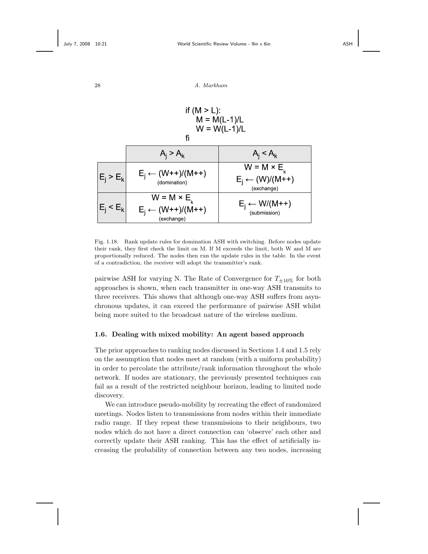| if $(M > L)$ :<br>$M = M(L-1)/L$<br>$W = W(L-1)/L$<br>fi |                                                                          |                                                                     |
|----------------------------------------------------------|--------------------------------------------------------------------------|---------------------------------------------------------------------|
|                                                          | $A_i > A_k$                                                              | $A_i < A_k$                                                         |
| $\mid$ E <sub>i</sub> > E <sub>k</sub>                   | $E_i \leftarrow (W^{++})/(M^{++})$<br>(domination)                       | $W = M \times E_{k}$<br>$E_i \leftarrow (W)/(M^{++})$<br>(exchange) |
| $E_i \leq E_k$                                           | $W = M \times E_{k}$<br>$E_i \leftarrow (W^{++})/(M^{++})$<br>(exchange) | $E_i \leftarrow W/(M^{++})$<br>(submission)                         |

Fig. 1.18. Rank update rules for domination ASH with switching. Before nodes update their rank, they first check the limit on M. If M exceeds the limit, both W and M are proportionally reduced. The nodes then run the update rules in the table. In the event of a contradiction, the receiver will adopt the transmitter's rank.

pairwise ASH for varying N. The Rate of Convergence for  $T_{\pm 10\%}$  for both approaches is shown, when each transmitter in one-way ASH transmits to three receivers. This shows that although one-way ASH suffers from asynchronous updates, it can exceed the performance of pairwise ASH whilst being more suited to the broadcast nature of the wireless medium.

# **1.6. Dealing with mixed mobility: An agent based approach**

The prior approaches to ranking nodes discussed in Sections 1.4 and 1.5 rely on the assumption that nodes meet at random (with a uniform probability) in order to percolate the attribute/rank information throughout the whole network. If nodes are stationary, the previously presented techniques can fail as a result of the restricted neighbour horizon, leading to limited node discovery.

We can introduce pseudo-mobility by recreating the effect of randomized meetings. Nodes listen to transmissions from nodes within their immediate radio range. If they repeat these transmissions to their neighbours, two nodes which do not have a direct connection can 'observe' each other and correctly update their ASH ranking. This has the effect of artificially increasing the probability of connection between any two nodes, increasing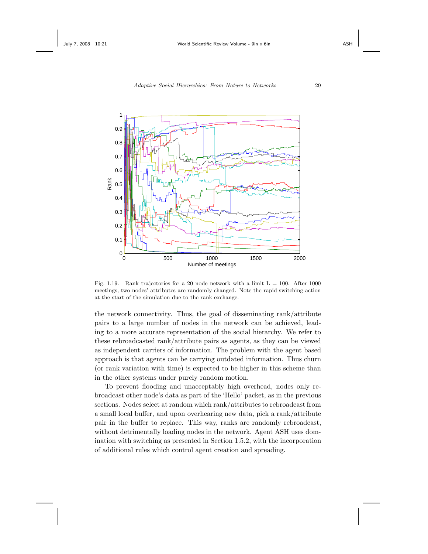

Fig. 1.19. Rank trajectories for a 20 node network with a limit  $L = 100$ . After 1000 meetings, two nodes' attributes are randomly changed. Note the rapid switching action at the start of the simulation due to the rank exchange.

the network connectivity. Thus, the goal of disseminating rank/attribute pairs to a large number of nodes in the network can be achieved, leading to a more accurate representation of the social hierarchy. We refer to these rebroadcasted rank/attribute pairs as agents, as they can be viewed as independent carriers of information. The problem with the agent based approach is that agents can be carrying outdated information. Thus churn (or rank variation with time) is expected to be higher in this scheme than in the other systems under purely random motion.

To prevent flooding and unacceptably high overhead, nodes only rebroadcast other node's data as part of the 'Hello' packet, as in the previous sections. Nodes select at random which rank/attributes to rebroadcast from a small local buffer, and upon overhearing new data, pick a rank/attribute pair in the buffer to replace. This way, ranks are randomly rebroadcast, without detrimentally loading nodes in the network. Agent ASH uses domination with switching as presented in Section 1.5.2, with the incorporation of additional rules which control agent creation and spreading.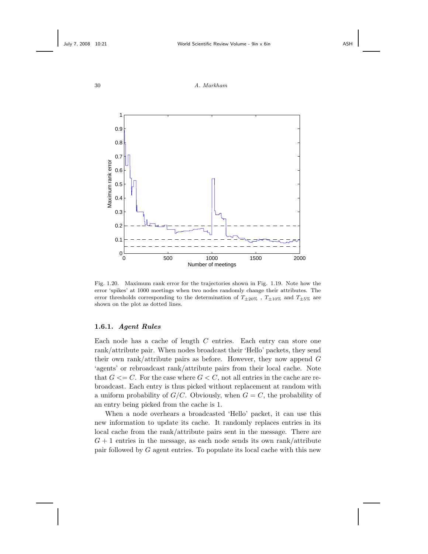

Fig. 1.20. Maximum rank error for the trajectories shown in Fig. 1.19. Note how the error 'spikes' at 1000 meetings when two nodes randomly change their attributes. The error thresholds corresponding to the determination of  $T_{\pm 20\%}$  ,  $T_{\pm 10\%}$  and  $T_{\pm 5\%}$  are shown on the plot as dotted lines.

## **1.6.1.** *Agent Rules*

Each node has a cache of length  $C$  entries. Each entry can store one rank/attribute pair. When nodes broadcast their 'Hello' packets, they send their own rank/attribute pairs as before. However, they now append G 'agents' or rebroadcast rank/attribute pairs from their local cache. Note that  $G \leq C$ . For the case where  $G \leq C$ , not all entries in the cache are rebroadcast. Each entry is thus picked without replacement at random with a uniform probability of  $G/C$ . Obviously, when  $G = C$ , the probability of an entry being picked from the cache is 1.

When a node overhears a broadcasted 'Hello' packet, it can use this new information to update its cache. It randomly replaces entries in its local cache from the rank/attribute pairs sent in the message. There are  $G + 1$  entries in the message, as each node sends its own rank/attribute pair followed by G agent entries. To populate its local cache with this new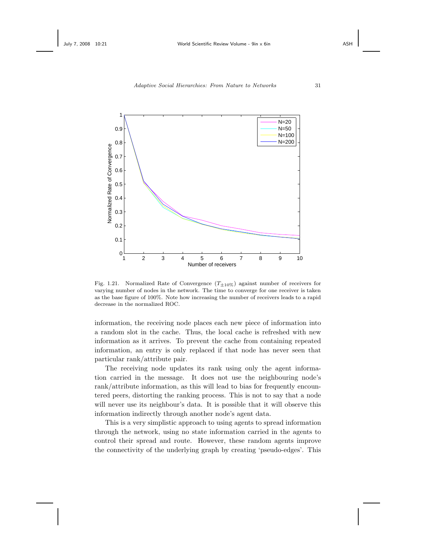

Fig. 1.21. Normalized Rate of Convergence (T*±*10%) against number of receivers for varying number of nodes in the network. The time to converge for one receiver is taken as the base figure of 100%. Note how increasing the number of receivers leads to a rapid decrease in the normalized ROC.

information, the receiving node places each new piece of information into a random slot in the cache. Thus, the local cache is refreshed with new information as it arrives. To prevent the cache from containing repeated information, an entry is only replaced if that node has never seen that particular rank/attribute pair.

The receiving node updates its rank using only the agent information carried in the message. It does not use the neighbouring node's rank/attribute information, as this will lead to bias for frequently encountered peers, distorting the ranking process. This is not to say that a node will never use its neighbour's data. It is possible that it will observe this information indirectly through another node's agent data.

This is a very simplistic approach to using agents to spread information through the network, using no state information carried in the agents to control their spread and route. However, these random agents improve the connectivity of the underlying graph by creating 'pseudo-edges'. This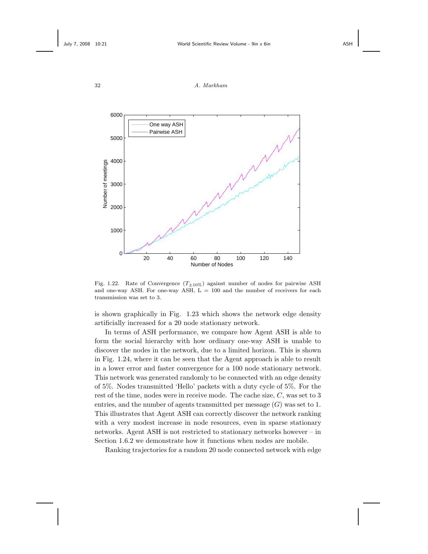

Fig. 1.22. Rate of Convergence (T*±*10%) against number of nodes for pairwise ASH and one-way ASH. For one-way ASH,  $L = 100$  and the number of receivers for each transmission was set to 3.

is shown graphically in Fig. 1.23 which shows the network edge density artificially increased for a 20 node stationary network.

In terms of ASH performance, we compare how Agent ASH is able to form the social hierarchy with how ordinary one-way ASH is unable to discover the nodes in the network, due to a limited horizon. This is shown in Fig. 1.24, where it can be seen that the Agent approach is able to result in a lower error and faster convergence for a 100 node stationary network. This network was generated randomly to be connected with an edge density of 5%. Nodes transmitted 'Hello' packets with a duty cycle of 5%. For the rest of the time, nodes were in receive mode. The cache size, C, was set to 3 entries, and the number of agents transmitted per message  $(G)$  was set to 1. This illustrates that Agent ASH can correctly discover the network ranking with a very modest increase in node resources, even in sparse stationary networks. Agent ASH is not restricted to stationary networks however – in Section 1.6.2 we demonstrate how it functions when nodes are mobile.

Ranking trajectories for a random 20 node connected network with edge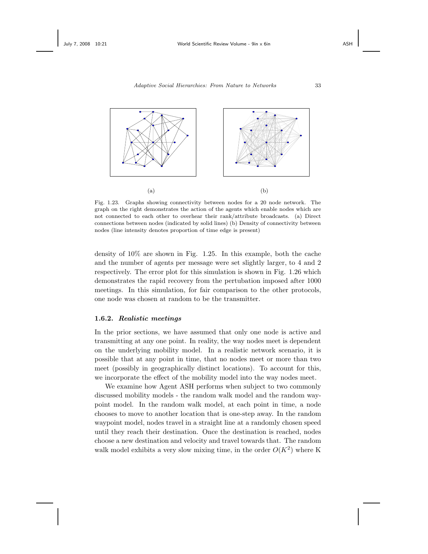

Fig. 1.23. Graphs showing connectivity between nodes for a 20 node network. The graph on the right demonstrates the action of the agents which enable nodes which are not connected to each other to overhear their rank/attribute broadcasts. (a) Direct connections between nodes (indicated by solid lines) (b) Density of connectivity between nodes (line intensity denotes proportion of time edge is present)

density of 10% are shown in Fig. 1.25. In this example, both the cache and the number of agents per message were set slightly larger, to 4 and 2 respectively. The error plot for this simulation is shown in Fig. 1.26 which demonstrates the rapid recovery from the pertubation imposed after 1000 meetings. In this simulation, for fair comparison to the other protocols, one node was chosen at random to be the transmitter.

## **1.6.2.** *Realistic meetings*

In the prior sections, we have assumed that only one node is active and transmitting at any one point. In reality, the way nodes meet is dependent on the underlying mobility model. In a realistic network scenario, it is possible that at any point in time, that no nodes meet or more than two meet (possibly in geographically distinct locations). To account for this, we incorporate the effect of the mobility model into the way nodes meet.

We examine how Agent ASH performs when subject to two commonly discussed mobility models - the random walk model and the random waypoint model. In the random walk model, at each point in time, a node chooses to move to another location that is one-step away. In the random waypoint model, nodes travel in a straight line at a randomly chosen speed until they reach their destination. Once the destination is reached, nodes choose a new destination and velocity and travel towards that. The random walk model exhibits a very slow mixing time, in the order  $O(K^2)$  where K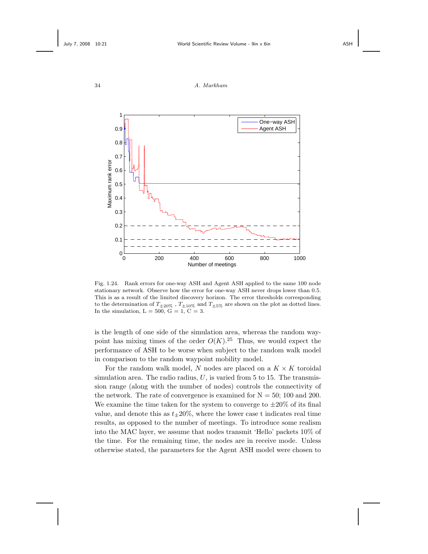

Fig. 1.24. Rank errors for one-way ASH and Agent ASH applied to the same 100 node stationary network. Observe how the error for one-way ASH never drops lower than 0.5. This is as a result of the limited discovery horizon. The error thresholds corresponding to the determination of  $T_{\pm 20\%}$  ,  $T_{\pm 10\%}$  and  $T_{\pm 5\%}$  are shown on the plot as dotted lines. In the simulation,  $L = 500$ ,  $G = 1$ ,  $C = 3$ .

is the length of one side of the simulation area, whereas the random waypoint has mixing times of the order  $O(K)$ .<sup>25</sup> Thus, we would expect the performance of ASH to be worse when subject to the random walk model in comparison to the random waypoint mobility model.

For the random walk model, N nodes are placed on a  $K \times K$  toroidal simulation area. The radio radius,  $U$ , is varied from 5 to 15. The transmission range (along with the number of nodes) controls the connectivity of the network. The rate of convergence is examined for  $N = 50$ ; 100 and 200. We examine the time taken for the system to converge to  $\pm 20\%$  of its final value, and denote this as  $t_{\pm}20\%$ , where the lower case t indicates real time results, as opposed to the number of meetings. To introduce some realism into the MAC layer, we assume that nodes transmit 'Hello' packets 10% of the time. For the remaining time, the nodes are in receive mode. Unless otherwise stated, the parameters for the Agent ASH model were chosen to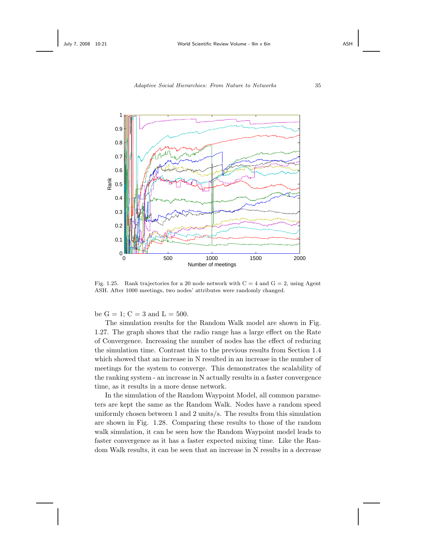



Fig. 1.25. Rank trajectories for a 20 node network with  $C = 4$  and  $G = 2$ , using Agent ASH. After 1000 meetings, two nodes' attributes were randomly changed.

be  $G = 1$ ;  $C = 3$  and  $L = 500$ .

The simulation results for the Random Walk model are shown in Fig. 1.27. The graph shows that the radio range has a large effect on the Rate of Convergence. Increasing the number of nodes has the effect of reducing the simulation time. Contrast this to the previous results from Section 1.4 which showed that an increase in N resulted in an increase in the number of meetings for the system to converge. This demonstrates the scalability of the ranking system - an increase in N actually results in a faster convergence time, as it results in a more dense network.

In the simulation of the Random Waypoint Model, all common parameters are kept the same as the Random Walk. Nodes have a random speed uniformly chosen between 1 and 2 units/s. The results from this simulation are shown in Fig. 1.28. Comparing these results to those of the random walk simulation, it can be seen how the Random Waypoint model leads to faster convergence as it has a faster expected mixing time. Like the Random Walk results, it can be seen that an increase in N results in a decrease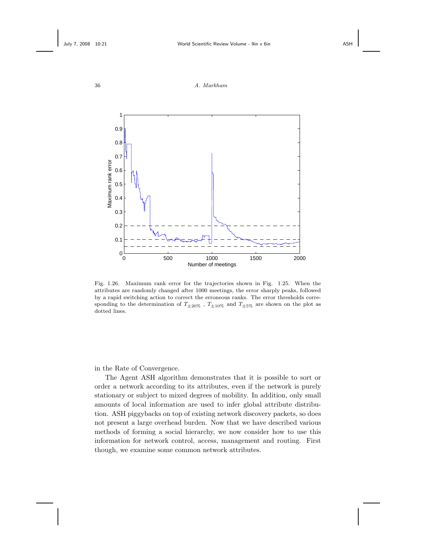

Fig. 1.26. Maximum rank error for the trajectories shown in Fig. 1.25. When the attributes are randomly changed after 1000 meetings, the error sharply peaks, followed by a rapid switching action to correct the erroneous ranks. The error thresholds corresponding to the determination of  $T_{\pm 20\%}$  ,  $T_{\pm 10\%}$  and  $T_{\pm 5\%}$  are shown on the plot as dotted lines.

in the Rate of Convergence.

The Agent ASH algorithm demonstrates that it is possible to sort or order a network according to its attributes, even if the network is purely stationary or subject to mixed degrees of mobility. In addition, only small amounts of local information are used to infer global attribute distribution. ASH piggybacks on top of existing network discovery packets, so does not present a large overhead burden. Now that we have described various methods of forming a social hierarchy, we now consider how to use this information for network control, access, management and routing. First though, we examine some common network attributes.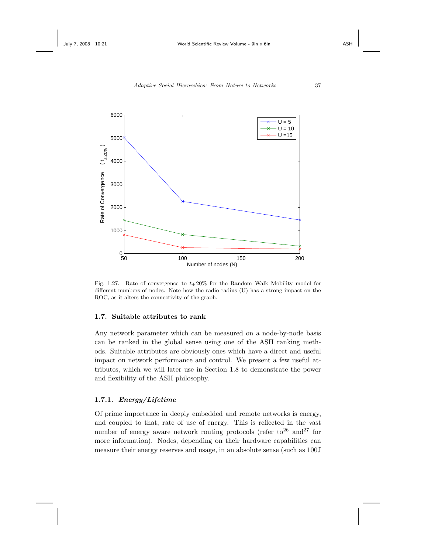

Fig. 1.27. Rate of convergence to t*±*20% for the Random Walk Mobility model for different numbers of nodes. Note how the radio radius (U) has a strong impact on the ROC, as it alters the connectivity of the graph.

# **1.7. Suitable attributes to rank**

Any network parameter which can be measured on a node-by-node basis can be ranked in the global sense using one of the ASH ranking methods. Suitable attributes are obviously ones which have a direct and useful impact on network performance and control. We present a few useful attributes, which we will later use in Section 1.8 to demonstrate the power and flexibility of the ASH philosophy.

# **1.7.1.** *Energy/Lifetime*

Of prime importance in deeply embedded and remote networks is energy, and coupled to that, rate of use of energy. This is reflected in the vast number of energy aware network routing protocols (refer to<sup>26</sup> and<sup>27</sup> for more information). Nodes, depending on their hardware capabilities can measure their energy reserves and usage, in an absolute sense (such as 100J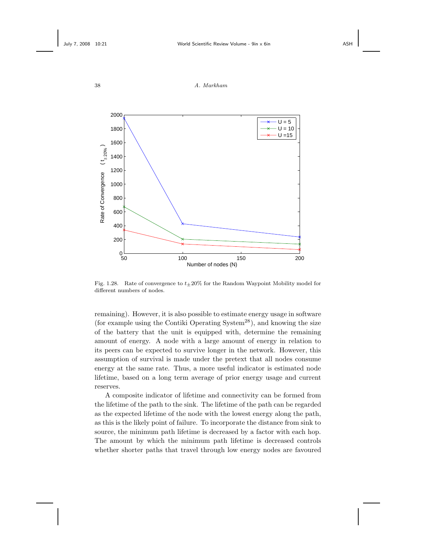

Fig. 1.28. Rate of convergence to t*±*20% for the Random Waypoint Mobility model for different numbers of nodes.

50 100 150 200

Number of nodes (N)

remaining). However, it is also possible to estimate energy usage in software (for example using the Contiki Operating System<sup>28</sup>), and knowing the size of the battery that the unit is equipped with, determine the remaining amount of energy. A node with a large amount of energy in relation to its peers can be expected to survive longer in the network. However, this assumption of survival is made under the pretext that all nodes consume energy at the same rate. Thus, a more useful indicator is estimated node lifetime, based on a long term average of prior energy usage and current reserves.

A composite indicator of lifetime and connectivity can be formed from the lifetime of the path to the sink. The lifetime of the path can be regarded as the expected lifetime of the node with the lowest energy along the path, as this is the likely point of failure. To incorporate the distance from sink to source, the minimum path lifetime is decreased by a factor with each hop. The amount by which the minimum path lifetime is decreased controls whether shorter paths that travel through low energy nodes are favoured

### 38 *A. Markham*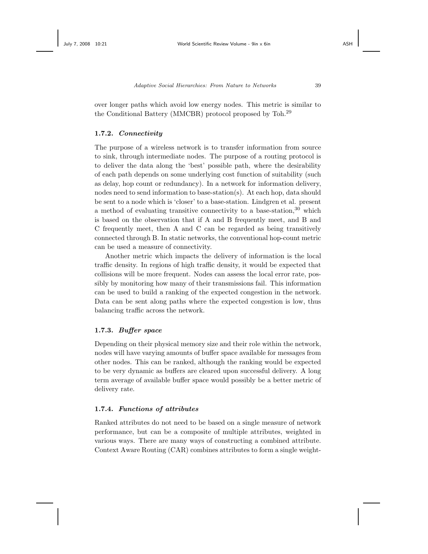over longer paths which avoid low energy nodes. This metric is similar to the Conditional Battery (MMCBR) protocol proposed by Toh.<sup>29</sup>

# **1.7.2.** *Connectivity*

The purpose of a wireless network is to transfer information from source to sink, through intermediate nodes. The purpose of a routing protocol is to deliver the data along the 'best' possible path, where the desirability of each path depends on some underlying cost function of suitability (such as delay, hop count or redundancy). In a network for information delivery, nodes need to send information to base-station(s). At each hop, data should be sent to a node which is 'closer' to a base-station. Lindgren et al. present a method of evaluating transitive connectivity to a base-station,  $30$  which is based on the observation that if A and B frequently meet, and B and C frequently meet, then A and C can be regarded as being transitively connected through B. In static networks, the conventional hop-count metric can be used a measure of connectivity.

Another metric which impacts the delivery of information is the local traffic density. In regions of high traffic density, it would be expected that collisions will be more frequent. Nodes can assess the local error rate, possibly by monitoring how many of their transmissions fail. This information can be used to build a ranking of the expected congestion in the network. Data can be sent along paths where the expected congestion is low, thus balancing traffic across the network.

# **1.7.3.** *Buffer space*

Depending on their physical memory size and their role within the network, nodes will have varying amounts of buffer space available for messages from other nodes. This can be ranked, although the ranking would be expected to be very dynamic as buffers are cleared upon successful delivery. A long term average of available buffer space would possibly be a better metric of delivery rate.

# **1.7.4.** *Functions of attributes*

Ranked attributes do not need to be based on a single measure of network performance, but can be a composite of multiple attributes, weighted in various ways. There are many ways of constructing a combined attribute. Context Aware Routing (CAR) combines attributes to form a single weight-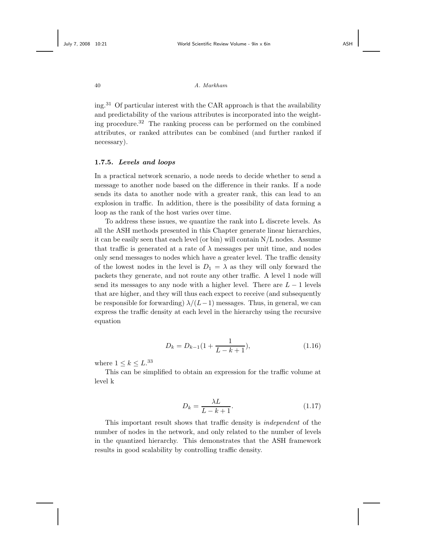ing.<sup>31</sup> Of particular interest with the CAR approach is that the availability and predictability of the various attributes is incorporated into the weighting procedure.<sup>32</sup> The ranking process can be performed on the combined attributes, or ranked attributes can be combined (and further ranked if necessary).

# **1.7.5.** *Levels and loops*

In a practical network scenario, a node needs to decide whether to send a message to another node based on the difference in their ranks. If a node sends its data to another node with a greater rank, this can lead to an explosion in traffic. In addition, there is the possibility of data forming a loop as the rank of the host varies over time.

To address these issues, we quantize the rank into L discrete levels. As all the ASH methods presented in this Chapter generate linear hierarchies, it can be easily seen that each level (or bin) will contain N/L nodes. Assume that traffic is generated at a rate of  $\lambda$  messages per unit time, and nodes only send messages to nodes which have a greater level. The traffic density of the lowest nodes in the level is  $D_1 = \lambda$  as they will only forward the packets they generate, and not route any other traffic. A level 1 node will send its messages to any node with a higher level. There are  $L - 1$  levels that are higher, and they will thus each expect to receive (and subsequently be responsible for forwarding)  $\lambda/(L-1)$  messages. Thus, in general, we can express the traffic density at each level in the hierarchy using the recursive equation

$$
D_k = D_{k-1}(1 + \frac{1}{L - k + 1}),\tag{1.16}
$$

where  $1 \leq k \leq L^{33}$ 

This can be simplified to obtain an expression for the traffic volume at level k

$$
D_k = \frac{\lambda L}{L - k + 1}.\tag{1.17}
$$

This important result shows that traffic density is *independent* of the number of nodes in the network, and only related to the number of levels in the quantized hierarchy. This demonstrates that the ASH framework results in good scalability by controlling traffic density.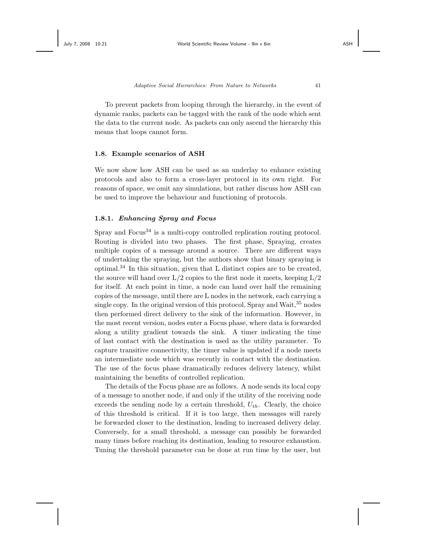To prevent packets from looping through the hierarchy, in the event of dynamic ranks, packets can be tagged with the rank of the node which sent the data to the current node. As packets can only ascend the hierarchy this means that loops cannot form.

## **1.8. Example scenarios of ASH**

We now show how ASH can be used as an underlay to enhance existing protocols and also to form a cross-layer protocol in its own right. For reasons of space, we omit any simulations, but rather discuss how ASH can be used to improve the behaviour and functioning of protocols.

# **1.8.1.** *Enhancing Spray and Focus*

Spray and Focus<sup>34</sup> is a multi-copy controlled replication routing protocol. Routing is divided into two phases. The first phase, Spraying, creates multiple copies of a message around a source. There are different ways of undertaking the spraying, but the authors show that binary spraying is optimal.<sup>34</sup> In this situation, given that L distinct copies are to be created, the source will hand over  $L/2$  copies to the first node it meets, keeping  $L/2$ for itself. At each point in time, a node can hand over half the remaining copies of the message, until there are L nodes in the network, each carrying a single copy. In the original version of this protocol, Spray and Wait,<sup>35</sup> nodes then performed direct delivery to the sink of the information. However, in the most recent version, nodes enter a Focus phase, where data is forwarded along a utility gradient towards the sink. A timer indicating the time of last contact with the destination is used as the utility parameter. To capture transitive connectivity, the timer value is updated if a node meets an intermediate node which was recently in contact with the destination. The use of the focus phase dramatically reduces delivery latency, whilst maintaining the benefits of controlled replication.

The details of the Focus phase are as follows. A node sends its local copy of a message to another node, if and only if the utility of the receiving node exceeds the sending node by a certain threshold,  $U_{th}$ . Clearly, the choice of this threshold is critical. If it is too large, then messages will rarely be forwarded closer to the destination, leading to increased delivery delay. Conversely, for a small threshold, a message can possibly be forwarded many times before reaching its destination, leading to resource exhaustion. Tuning the threshold parameter can be done at run time by the user, but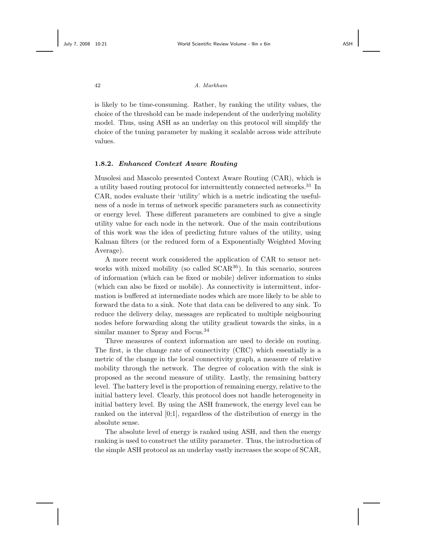is likely to be time-consuming. Rather, by ranking the utility values, the choice of the threshold can be made independent of the underlying mobility model. Thus, using ASH as an underlay on this protocol will simplify the choice of the tuning parameter by making it scalable across wide attribute values.

## **1.8.2.** *Enhanced Context Aware Routing*

Musolesi and Mascolo presented Context Aware Routing (CAR), which is a utility based routing protocol for intermittently connected networks.<sup>31</sup> In CAR, nodes evaluate their 'utility' which is a metric indicating the usefulness of a node in terms of network specific parameters such as connectivity or energy level. These different parameters are combined to give a single utility value for each node in the network. One of the main contributions of this work was the idea of predicting future values of the utility, using Kalman filters (or the reduced form of a Exponentially Weighted Moving Average).

A more recent work considered the application of CAR to sensor networks with mixed mobility (so called  $SCAR^{36}$ ). In this scenario, sources of information (which can be fixed or mobile) deliver information to sinks (which can also be fixed or mobile). As connectivity is intermittent, information is buffered at intermediate nodes which are more likely to be able to forward the data to a sink. Note that data can be delivered to any sink. To reduce the delivery delay, messages are replicated to multiple neigbouring nodes before forwarding along the utility gradient towards the sinks, in a similar manner to Spray and Focus.<sup>34</sup>

Three measures of context information are used to decide on routing. The first, is the change rate of connectivity (CRC) which essentially is a metric of the change in the local connectivity graph, a measure of relative mobility through the network. The degree of colocation with the sink is proposed as the second measure of utility. Lastly, the remaining battery level. The battery level is the proportion of remaining energy, relative to the initial battery level. Clearly, this protocol does not handle heterogeneity in initial battery level. By using the ASH framework, the energy level can be ranked on the interval [0;1], regardless of the distribution of energy in the absolute sense.

The absolute level of energy is ranked using ASH, and then the energy ranking is used to construct the utility parameter. Thus, the introduction of the simple ASH protocol as an underlay vastly increases the scope of SCAR,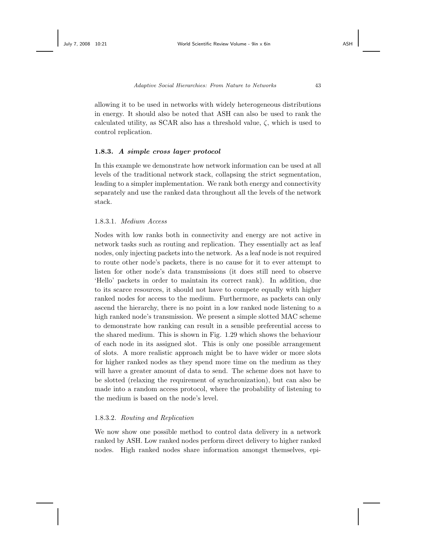allowing it to be used in networks with widely heterogeneous distributions in energy. It should also be noted that ASH can also be used to rank the calculated utility, as SCAR also has a threshold value,  $\zeta$ , which is used to control replication.

## **1.8.3.** *A simple cross layer protocol*

In this example we demonstrate how network information can be used at all levels of the traditional network stack, collapsing the strict segmentation, leading to a simpler implementation. We rank both energy and connectivity separately and use the ranked data throughout all the levels of the network stack.

### 1.8.3.1. *Medium Access*

Nodes with low ranks both in connectivity and energy are not active in network tasks such as routing and replication. They essentially act as leaf nodes, only injecting packets into the network. As a leaf node is not required to route other node's packets, there is no cause for it to ever attempt to listen for other node's data transmissions (it does still need to observe 'Hello' packets in order to maintain its correct rank). In addition, due to its scarce resources, it should not have to compete equally with higher ranked nodes for access to the medium. Furthermore, as packets can only ascend the hierarchy, there is no point in a low ranked node listening to a high ranked node's transmission. We present a simple slotted MAC scheme to demonstrate how ranking can result in a sensible preferential access to the shared medium. This is shown in Fig. 1.29 which shows the behaviour of each node in its assigned slot. This is only one possible arrangement of slots. A more realistic approach might be to have wider or more slots for higher ranked nodes as they spend more time on the medium as they will have a greater amount of data to send. The scheme does not have to be slotted (relaxing the requirement of synchronization), but can also be made into a random access protocol, where the probability of listening to the medium is based on the node's level.

## 1.8.3.2. *Routing and Replication*

We now show one possible method to control data delivery in a network ranked by ASH. Low ranked nodes perform direct delivery to higher ranked nodes. High ranked nodes share information amongst themselves, epi-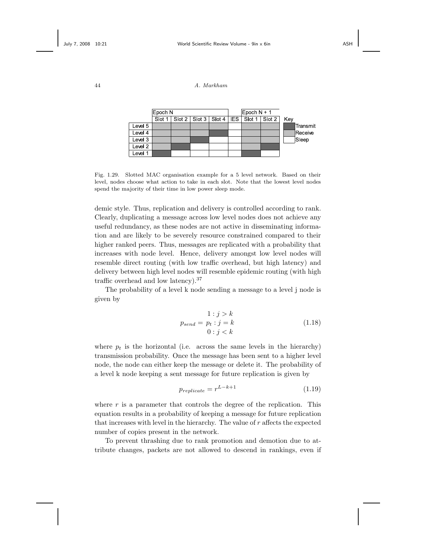

Fig. 1.29. Slotted MAC organisation example for a 5 level network. Based on their level, nodes choose what action to take in each slot. Note that the lowest level nodes spend the majority of their time in low power sleep mode.

demic style. Thus, replication and delivery is controlled according to rank. Clearly, duplicating a message across low level nodes does not achieve any useful redundancy, as these nodes are not active in disseminating information and are likely to be severely resource constrained compared to their higher ranked peers. Thus, messages are replicated with a probability that increases with node level. Hence, delivery amongst low level nodes will resemble direct routing (with low traffic overhead, but high latency) and delivery between high level nodes will resemble epidemic routing (with high traffic overhead and low latency).<sup>37</sup>

The probability of a level k node sending a message to a level j node is given by

$$
p_{send} = p_t : j = k
$$
  
\n
$$
0 : j < k
$$
\n
$$
(1.18)
$$

where  $p_t$  is the horizontal (i.e. across the same levels in the hierarchy) transmission probability. Once the message has been sent to a higher level node, the node can either keep the message or delete it. The probability of a level k node keeping a sent message for future replication is given by

$$
p_{replicate} = r^{L-k+1} \tag{1.19}
$$

where  $r$  is a parameter that controls the degree of the replication. This equation results in a probability of keeping a message for future replication that increases with level in the hierarchy. The value of  $r$  affects the expected number of copies present in the network.

To prevent thrashing due to rank promotion and demotion due to attribute changes, packets are not allowed to descend in rankings, even if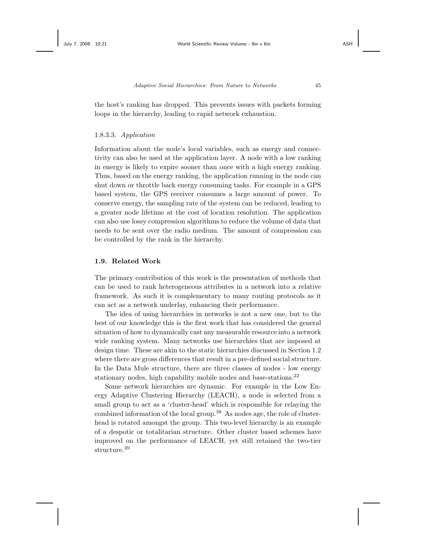the host's ranking has dropped. This prevents issues with packets forming loops in the hierarchy, leading to rapid network exhaustion.

## 1.8.3.3. *Application*

Information about the node's local variables, such as energy and connectivity can also be used at the application layer. A node with a low ranking in energy is likely to expire sooner than once with a high energy ranking. Thus, based on the energy ranking, the application running in the node can shut down or throttle back energy consuming tasks. For example in a GPS based system, the GPS receiver consumes a large amount of power. To conserve energy, the sampling rate of the system can be reduced, leading to a greater node lifetime at the cost of location resolution. The application can also use lossy compression algorithms to reduce the volume of data that needs to be sent over the radio medium. The amount of compression can be controlled by the rank in the hierarchy.

## **1.9. Related Work**

The primary contribution of this work is the presentation of methods that can be used to rank heterogeneous attributes in a network into a relative framework. As such it is complementary to many routing protocols as it can act as a network underlay, enhancing their performance.

The idea of using hierarchies in networks is not a new one, but to the best of our knowledge this is the first work that has considered the general situation of how to dynamically cast any measurable resource into a network wide ranking system. Many networks use hierarchies that are imposed at design time. These are akin to the static hierarchies discussed in Section 1.2 where there are gross differences that result in a pre-defined social structure. In the Data Mule structure, there are three classes of nodes - low energy stationary nodes, high capability mobile nodes and base-stations.<sup>22</sup>

Some network hierarchies are dynamic. For example in the Low Energy Adaptive Clustering Hierarchy (LEACH), a node is selected from a small group to act as a 'cluster-head' which is responsible for relaying the combined information of the local group.<sup>38</sup> As nodes age, the role of clusterhead is rotated amongst the group. This two-level hierarchy is an example of a despotic or totalitarian structure. Other cluster based schemes have improved on the performance of LEACH, yet still retained the two-tier structure.<sup>39</sup>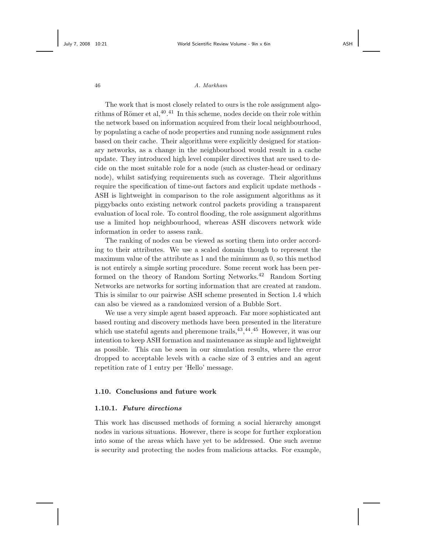The work that is most closely related to ours is the role assignment algorithms of Römer et al,  $40.41$  In this scheme, nodes decide on their role within the network based on information acquired from their local neighbourhood, by populating a cache of node properties and running node assignment rules based on their cache. Their algorithms were explicitly designed for stationary networks, as a change in the neighbourhood would result in a cache update. They introduced high level compiler directives that are used to decide on the most suitable role for a node (such as cluster-head or ordinary node), whilst satisfying requirements such as coverage. Their algorithms require the specification of time-out factors and explicit update methods - ASH is lightweight in comparison to the role assignment algorithms as it piggybacks onto existing network control packets providing a transparent evaluation of local role. To control flooding, the role assignment algorithms use a limited hop neighbourhood, whereas ASH discovers network wide information in order to assess rank.

The ranking of nodes can be viewed as sorting them into order according to their attributes. We use a scaled domain though to represent the maximum value of the attribute as 1 and the minimum as 0, so this method is not entirely a simple sorting procedure. Some recent work has been performed on the theory of Random Sorting Networks.<sup>42</sup> Random Sorting Networks are networks for sorting information that are created at random. This is similar to our pairwise ASH scheme presented in Section 1.4 which can also be viewed as a randomized version of a Bubble Sort.

We use a very simple agent based approach. Far more sophisticated ant based routing and discovery methods have been presented in the literature which use stateful agents and pheremone trails,  $43, 44, 45$  However, it was our intention to keep ASH formation and maintenance as simple and lightweight as possible. This can be seen in our simulation results, where the error dropped to acceptable levels with a cache size of 3 entries and an agent repetition rate of 1 entry per 'Hello' message.

## **1.10. Conclusions and future work**

# **1.10.1.** *Future directions*

This work has discussed methods of forming a social hierarchy amongst nodes in various situations. However, there is scope for further exploration into some of the areas which have yet to be addressed. One such avenue is security and protecting the nodes from malicious attacks. For example,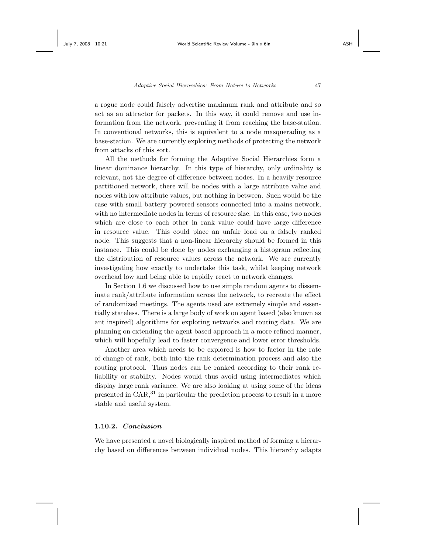a rogue node could falsely advertise maximum rank and attribute and so act as an attractor for packets. In this way, it could remove and use information from the network, preventing it from reaching the base-station. In conventional networks, this is equivalent to a node masquerading as a base-station. We are currently exploring methods of protecting the network from attacks of this sort.

All the methods for forming the Adaptive Social Hierarchies form a linear dominance hierarchy. In this type of hierarchy, only ordinality is relevant, not the degree of difference between nodes. In a heavily resource partitioned network, there will be nodes with a large attribute value and nodes with low attribute values, but nothing in between. Such would be the case with small battery powered sensors connected into a mains network, with no intermediate nodes in terms of resource size. In this case, two nodes which are close to each other in rank value could have large difference in resource value. This could place an unfair load on a falsely ranked node. This suggests that a non-linear hierarchy should be formed in this instance. This could be done by nodes exchanging a histogram reflecting the distribution of resource values across the network. We are currently investigating how exactly to undertake this task, whilst keeping network overhead low and being able to rapidly react to network changes.

In Section 1.6 we discussed how to use simple random agents to disseminate rank/attribute information across the network, to recreate the effect of randomized meetings. The agents used are extremely simple and essentially stateless. There is a large body of work on agent based (also known as ant inspired) algorithms for exploring networks and routing data. We are planning on extending the agent based approach in a more refined manner, which will hopefully lead to faster convergence and lower error thresholds.

Another area which needs to be explored is how to factor in the rate of change of rank, both into the rank determination process and also the routing protocol. Thus nodes can be ranked according to their rank reliability or stability. Nodes would thus avoid using intermediates which display large rank variance. We are also looking at using some of the ideas presented in CAR,<sup>31</sup> in particular the prediction process to result in a more stable and useful system.

## **1.10.2.** *Conclusion*

We have presented a novel biologically inspired method of forming a hierarchy based on differences between individual nodes. This hierarchy adapts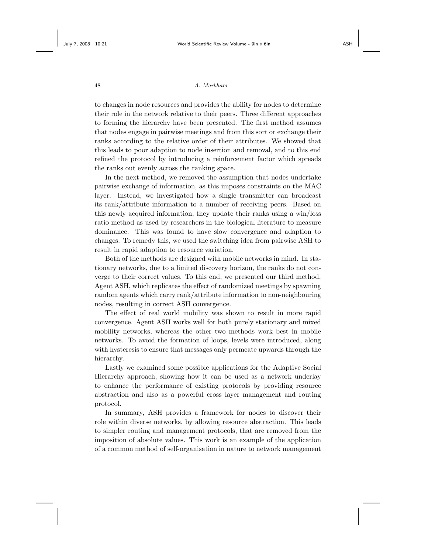to changes in node resources and provides the ability for nodes to determine their role in the network relative to their peers. Three different approaches to forming the hierarchy have been presented. The first method assumes that nodes engage in pairwise meetings and from this sort or exchange their ranks according to the relative order of their attributes. We showed that this leads to poor adaption to node insertion and removal, and to this end refined the protocol by introducing a reinforcement factor which spreads the ranks out evenly across the ranking space.

In the next method, we removed the assumption that nodes undertake pairwise exchange of information, as this imposes constraints on the MAC layer. Instead, we investigated how a single transmitter can broadcast its rank/attribute information to a number of receiving peers. Based on this newly acquired information, they update their ranks using a win/loss ratio method as used by researchers in the biological literature to measure dominance. This was found to have slow convergence and adaption to changes. To remedy this, we used the switching idea from pairwise ASH to result in rapid adaption to resource variation.

Both of the methods are designed with mobile networks in mind. In stationary networks, due to a limited discovery horizon, the ranks do not converge to their correct values. To this end, we presented our third method, Agent ASH, which replicates the effect of randomized meetings by spawning random agents which carry rank/attribute information to non-neighbouring nodes, resulting in correct ASH convergence.

The effect of real world mobility was shown to result in more rapid convergence. Agent ASH works well for both purely stationary and mixed mobility networks, whereas the other two methods work best in mobile networks. To avoid the formation of loops, levels were introduced, along with hysteresis to ensure that messages only permeate upwards through the hierarchy.

Lastly we examined some possible applications for the Adaptive Social Hierarchy approach, showing how it can be used as a network underlay to enhance the performance of existing protocols by providing resource abstraction and also as a powerful cross layer management and routing protocol.

In summary, ASH provides a framework for nodes to discover their role within diverse networks, by allowing resource abstraction. This leads to simpler routing and management protocols, that are removed from the imposition of absolute values. This work is an example of the application of a common method of self-organisation in nature to network management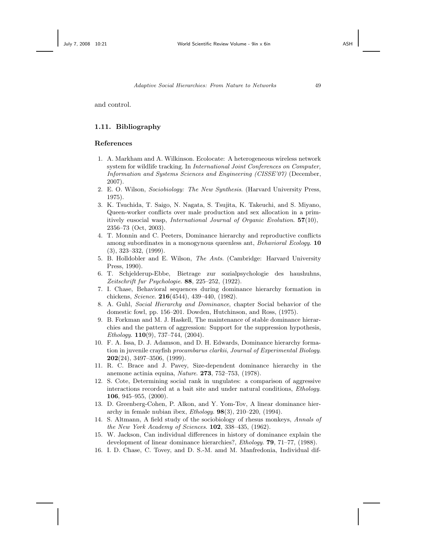and control.

# **1.11. Bibliography**

### **References**

- 1. A. Markham and A. Wilkinson. Ecolocate: A heterogeneous wireless network system for wildlife tracking. In *International Joint Conferences on Computer, Information and Systems Sciences and Engineering (CISSE'07)* (December, 2007).
- 2. E. O. Wilson, *Sociobiology: The New Synthesis*. (Harvard University Press, 1975).
- 3. K. Tsuchida, T. Saigo, N. Nagata, S. Tsujita, K. Takeuchi, and S. Miyano, Queen-worker conflicts over male production and sex allocation in a primitively eusocial wasp, *International Journal of Organic Evolution*. **57**(10), 2356–73 (Oct, 2003).
- 4. T. Monnin and C. Peeters, Dominance hierarchy and reproductive conflicts among subordinates in a monogynous queenless ant, *Behavioral Ecology*. **10** (3), 323–332, (1999).
- 5. B. Holldobler and E. Wilson, *The Ants*. (Cambridge: Harvard University Press, 1990).
- 6. T. Schjelderup-Ebbe, Bietrage zur sozialpsychologie des haushuhns, *Zeitschrift fur Psychologie*. **88**, 225–252, (1922).
- 7. I. Chase, Behavioral sequences during dominance hierarchy formation in chickens, *Science*. **216**(4544), 439–440, (1982).
- 8. A. Guhl, *Social Hierarchy and Dominance*, chapter Social behavior of the domestic fowl, pp. 156–201. Dowden, Hutchinson, and Ross, (1975).
- 9. B. Forkman and M. J. Haskell, The maintenance of stable dominance hierarchies and the pattern of aggression: Support for the suppression hypothesis, *Ethology*. **110**(9), 737–744, (2004).
- 10. F. A. Issa, D. J. Adamson, and D. H. Edwards, Dominance hierarchy formation in juvenile crayfish *procambarus clarkii*, *Journal of Experimental Biology*. **202**(24), 3497–3506, (1999).
- 11. R. C. Brace and J. Pavey, Size-dependent dominance hierarchy in the anemone actinia equina, *Nature*. **273**, 752–753, (1978).
- 12. S. Cote, Determining social rank in ungulates: a comparison of aggressive interactions recorded at a bait site and under natural conditions, *Ethology*. **106**, 945–955, (2000).
- 13. D. Greenberg-Cohen, P. Alkon, and Y. Yom-Tov, A linear dominance hierarchy in female nubian ibex, *Ethology*. **98**(3), 210–220, (1994).
- 14. S. Altmann, A field study of the sociobiology of rhesus monkeys, *Annals of the New York Academy of Sciences*. **102**, 338–435, (1962).
- 15. W. Jackson, Can individual differences in history of dominance explain the development of linear dominance hierarchies?, *Ethology*. **79**, 71–77, (1988).
- 16. I. D. Chase, C. Tovey, and D. S.-M. amd M. Manfredonia, Individual dif-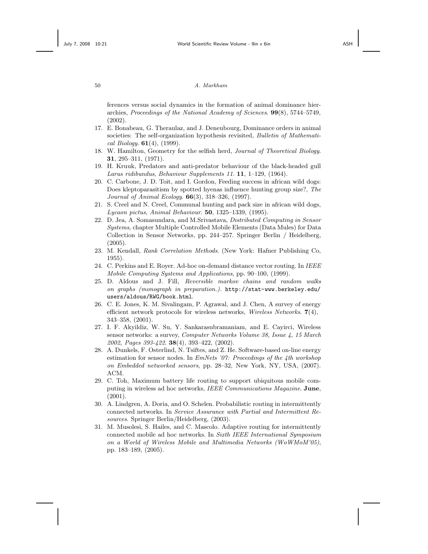ferences versus social dynamics in the formation of animal dominance hierarchies, *Proceedings of the National Academy of Sciences*. **99**(8), 5744–5749, (2002).

- 17. E. Bonabeau, G. Theraulaz, and J. Deneubourg, Dominance orders in animal societies: The self-organization hypothesis revisited, *Bulletin of Mathematical Biology*. **61**(4), (1999).
- 18. W. Hamilton, Geometry for the selfish herd, *Journal of Theoretical Biology*. **31**, 295–311, (1971).
- 19. H. Kruuk, Predators and anti-predator behaviour of the black-headed gull *Larus ridibundus*, *Behaviour Supplements 11*. **11**, 1–129, (1964).
- 20. C. Carbone, J. D. Toit, and I. Gordon, Feeding success in african wild dogs: Does kleptoparasitism by spotted hyenas influence hunting group size?, *The Journal of Animal Ecology*. **66**(3), 318–326, (1997).
- 21. S. Creel and N. Creel, Communal hunting and pack size in african wild dogs, *Lycaon pictus*, *Animal Behaviour*. **50**, 1325–1339, (1995).
- 22. D. Jea, A. Somasundara, and M.Srivastava, *Distributed Computing in Sensor Systems*, chapter Multiple Controlled Mobile Elements (Data Mules) for Data Collection in Sensor Networks, pp. 244–257. Springer Berlin / Heidelberg,  $(2005).$
- 23. M. Kendall, *Rank Correlation Methods*. (New York: Hafner Publishing Co, 1955).
- 24. C. Perkins and E. Royer. Ad-hoc on-demand distance vector routing. In *IEEE Mobile Computing Systems and Applications*, pp. 90–100, (1999).
- 25. D. Aldous and J. Fill, *Reversible markov chains and random walks on graphs (monograph in preparation.).* http://stat-www.berkeley.edu/ users/aldous/RWG/book.html.
- 26. C. E. Jones, K. M. Sivalingam, P. Agrawal, and J. Chen, A survey of energy efficient network protocols for wireless networks, *Wireless Networks*. **7**(4), 343–358, (2001).
- 27. I. F. Akyildiz, W. Su, Y. Sankarasubramaniam, and E. Cayirci, Wireless sensor networks: a survey, *Computer Networks Volume 38, Issue 4, 15 March 2002, Pages 393-422*. **38**(4), 393–422, (2002).
- 28. A. Dunkels, F. Osterlind, N. Tsiftes, and Z. He. Software-based on-line energy estimation for sensor nodes. In *EmNets '07: Proceedings of the 4th workshop on Embedded networked sensors*, pp. 28–32, New York, NY, USA, (2007). ACM.
- 29. C. Toh, Maximum battery life routing to support ubiquitous mobile computing in wireless ad hoc networks, *IEEE Communications Magazine*. **June**, (2001).
- 30. A. Lindgren, A. Doria, and O. Schelen. Probabilistic routing in intermittently connected networks. In *Service Assurance with Partial and Intermittent Resources*. Springer Berlin/Heidelberg, (2003).
- 31. M. Musolesi, S. Hailes, and C. Mascolo. Adaptive routing for intermittently connected mobile ad hoc networks. In *Sixth IEEE International Symposium on a World of Wireless Mobile and Multimedia Networks (WoWMoM'05)*, pp. 183–189, (2005).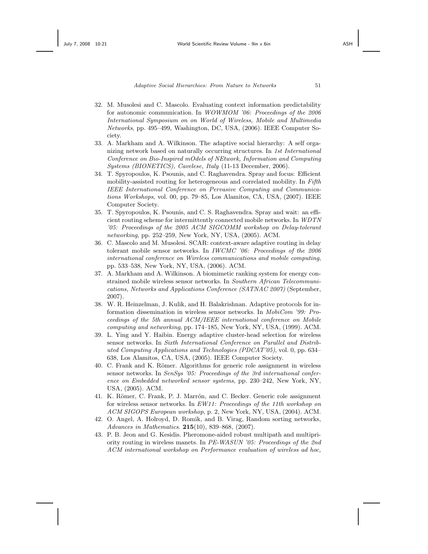- 32. M. Musolesi and C. Mascolo. Evaluating context information predictability for autonomic communication. In *WOWMOM '06: Proceedings of the 2006 International Symposium on on World of Wireless, Mobile and Multimedia Networks*, pp. 495–499, Washington, DC, USA, (2006). IEEE Computer Society.
- 33. A. Markham and A. Wilkinson. The adaptive social hierarchy: A self organizing network based on naturally occurring structures. In *1st International Conference on Bio-Inspired mOdels of NEtwork, Information and Computing Systems (BIONETICS), Cavelese, Italy* (11-13 December, 2006).
- 34. T. Spyropoulos, K. Psounis, and C. Raghavendra. Spray and focus: Efficient mobility-assisted routing for heterogeneous and correlated mobility. In *Fifth IEEE International Conference on Pervasive Computing and Communications Workshops*, vol. 00, pp. 79–85, Los Alamitos, CA, USA, (2007). IEEE Computer Society.
- 35. T. Spyropoulos, K. Psounis, and C. S. Raghavendra. Spray and wait: an efficient routing scheme for intermittently connected mobile networks. In *WDTN '05: Proceedings of the 2005 ACM SIGCOMM workshop on Delay-tolerant networking*, pp. 252–259, New York, NY, USA, (2005). ACM.
- 36. C. Mascolo and M. Musolesi. SCAR: context-aware adaptive routing in delay tolerant mobile sensor networks. In *IWCMC '06: Proceedings of the 2006 international conference on Wireless communications and mobile computing*, pp. 533–538, New York, NY, USA, (2006). ACM.
- 37. A. Markham and A. Wilkinson. A biomimetic ranking system for energy constrained mobile wireless sensor networks. In *Southern African Telecommunications, Networks and Applications Conference (SATNAC 2007)* (September, 2007).
- 38. W. R. Heinzelman, J. Kulik, and H. Balakrishnan. Adaptive protocols for information dissemination in wireless sensor networks. In *MobiCom '99: Proceedings of the 5th annual ACM/IEEE international conference on Mobile computing and networking*, pp. 174–185, New York, NY, USA, (1999). ACM.
- 39. L. Ying and Y. Haibin. Energy adaptive cluster-head selection for wireless sensor networks. In *Sixth International Conference on Parallel and Distributed Computing Applications and Technologies (PDCAT'05)*, vol. 0, pp. 634– 638, Los Alamitos, CA, USA, (2005). IEEE Computer Society.
- 40. C. Frank and K. Römer. Algorithms for generic role assignment in wireless sensor networks. In *SenSys '05: Proceedings of the 3rd international conference on Embedded networked sensor systems*, pp. 230–242, New York, NY, USA, (2005). ACM.
- 41. K. Römer, C. Frank, P. J. Marrón, and C. Becker. Generic role assignment for wireless sensor networks. In *EW11: Proceedings of the 11th workshop on ACM SIGOPS European workshop*, p. 2, New York, NY, USA, (2004). ACM.
- 42. O. Angel, A. Holroyd, D. Romik, and B. Virag, Random sorting networks, *Advances in Mathematics*. **215**(10), 839–868, (2007).
- 43. P. B. Jeon and G. Kesidis. Pheromone-aided robust multipath and multipriority routing in wireless manets. In *PE-WASUN '05: Proceedings of the 2nd ACM international workshop on Performance evaluation of wireless ad hoc,*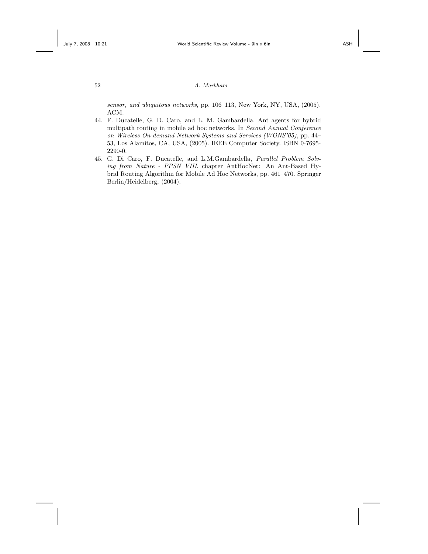*sensor, and ubiquitous networks*, pp. 106–113, New York, NY, USA, (2005). ACM.

- 44. F. Ducatelle, G. D. Caro, and L. M. Gambardella. Ant agents for hybrid multipath routing in mobile ad hoc networks. In *Second Annual Conference on Wireless On-demand Network Systems and Services (WONS'05)*, pp. 44– 53, Los Alamitos, CA, USA, (2005). IEEE Computer Society. ISBN 0-7695- 2290-0.
- 45. G. Di Caro, F. Ducatelle, and L.M.Gambardella, *Parallel Problem Solving from Nature - PPSN VIII*, chapter AntHocNet: An Ant-Based Hybrid Routing Algorithm for Mobile Ad Hoc Networks, pp. 461–470. Springer Berlin/Heidelberg, (2004).